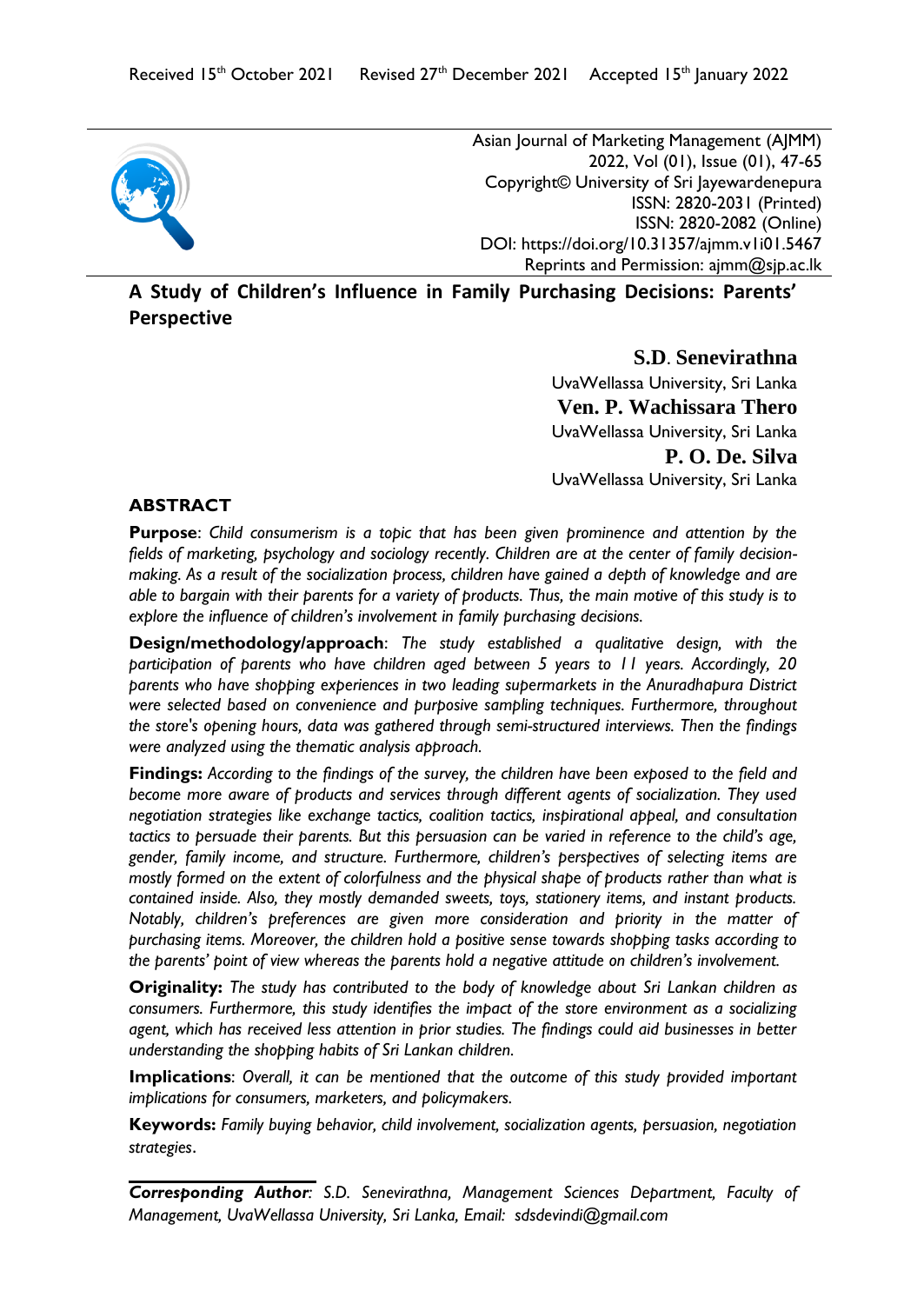

Asian Journal of Marketing Management (AJMM) 2022, Vol (01), Issue (01), 47-65 Copyright© University of Sri Jayewardenepura ISSN: 2820-2031 (Printed) ISSN: 2820-2082 (Online) DOI:<https://doi.org/10.31357/ajmm.v1i01.5467> Reprints and Permission: ajmm@sjp.ac.lk

**A Study of Children's Influence in Family Purchasing Decisions: Parents' Perspective**

> **S.D**. **Senevirathna**  UvaWellassa University, Sri Lanka **Ven. P. Wachissara Thero** UvaWellassa University, Sri Lanka **P. O. De. Silva** UvaWellassa University, Sri Lanka

### **ABSTRACT**

**Purpose**: *Child consumerism is a topic that has been given prominence and attention by the fields of marketing, psychology and sociology recently. Children are at the center of family decisionmaking. As a result of the socialization process, children have gained a depth of knowledge and are able to bargain with their parents for a variety of products. Thus, the main motive of this study is to explore the influence of children's involvement in family purchasing decisions.* 

**Design/methodology/approach**: *The study established a qualitative design, with the participation of parents who have children aged between 5 years to 11 years. Accordingly, 20 parents who have shopping experiences in two leading supermarkets in the Anuradhapura District were selected based on convenience and purposive sampling techniques. Furthermore, throughout the store's opening hours, data was gathered through semi-structured interviews. Then the findings were analyzed using the thematic analysis approach.* 

**Findings:** *According to the findings of the survey, the children have been exposed to the field and become more aware of products and services through different agents of socialization. They used negotiation strategies like exchange tactics, coalition tactics, inspirational appeal, and consultation*  tactics to persuade their parents. But this persuasion can be varied in reference to the child's age, *gender, family income, and structure. Furthermore, children's perspectives of selecting items are mostly formed on the extent of colorfulness and the physical shape of products rather than what is contained inside. Also, they mostly demanded sweets, toys, stationery items, and instant products. Notably, children's preferences are given more consideration and priority in the matter of purchasing items. Moreover, the children hold a positive sense towards shopping tasks according to the parents' point of view whereas the parents hold a negative attitude on children's involvement.* 

**Originality:** *The study has contributed to the body of knowledge about Sri Lankan children as consumers. Furthermore, this study identifies the impact of the store environment as a socializing agent, which has received less attention in prior studies. The findings could aid businesses in better understanding the shopping habits of Sri Lankan children.*

**Implications**: *Overall, it can be mentioned that the outcome of this study provided important implications for consumers, marketers, and policymakers.*

**Keywords:** *Family buying behavior, child involvement, socialization agents, persuasion, negotiation strategies*.

*Corresponding Author: S.D. Senevirathna, Management Sciences Department, Faculty of Management, UvaWellassa University, Sri Lanka, Email: [sdsdevindi@gmail.com](mailto:sdsdevindi@gmail.com)*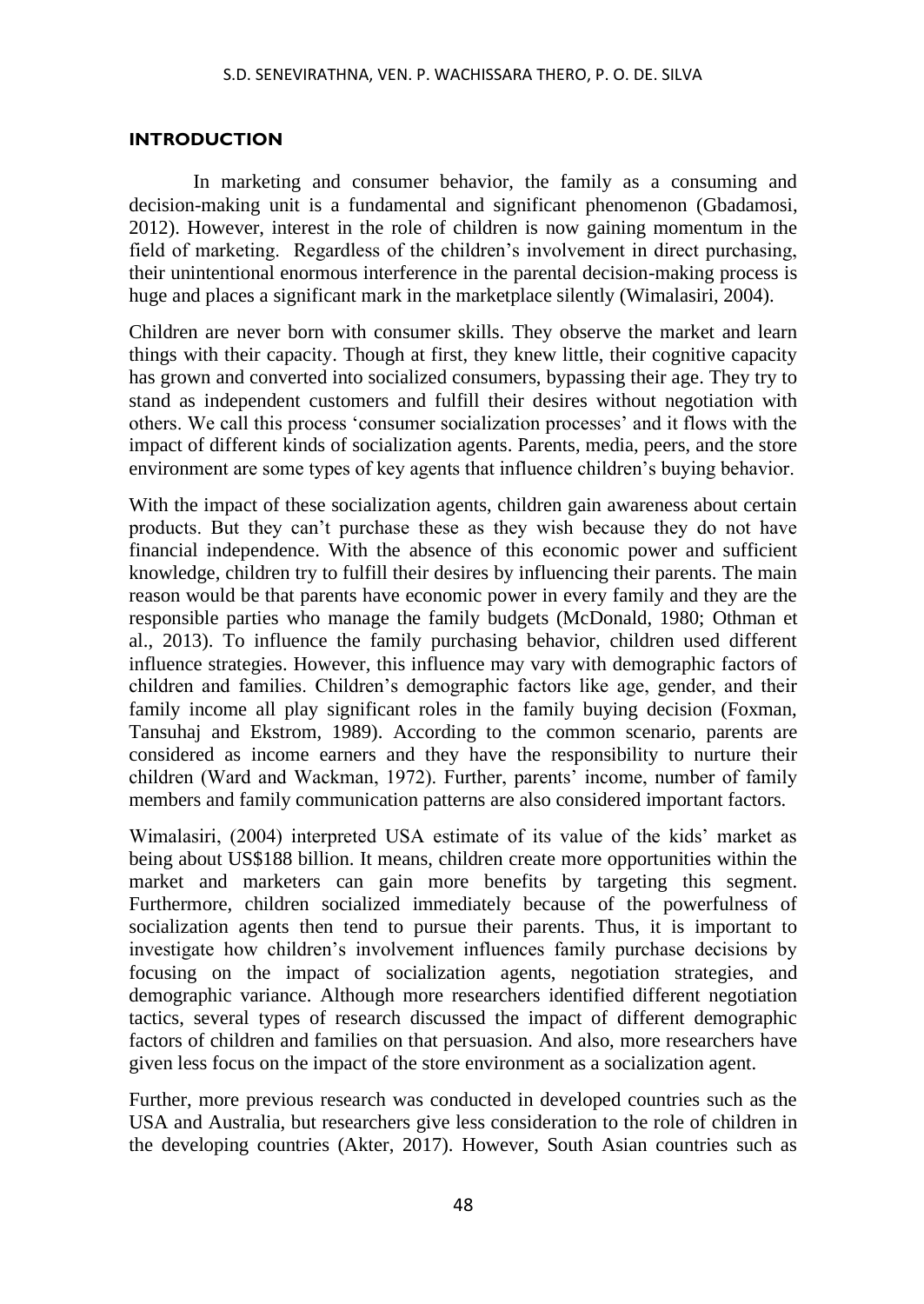### **INTRODUCTION**

In marketing and consumer behavior, the family as a consuming and decision-making unit is a fundamental and significant phenomenon (Gbadamosi, 2012). However, interest in the role of children is now gaining momentum in the field of marketing. Regardless of the children's involvement in direct purchasing, their unintentional enormous interference in the parental decision-making process is huge and places a significant mark in the marketplace silently (Wimalasiri, 2004).

Children are never born with consumer skills. They observe the market and learn things with their capacity. Though at first, they knew little, their cognitive capacity has grown and converted into socialized consumers, bypassing their age. They try to stand as independent customers and fulfill their desires without negotiation with others. We call this process 'consumer socialization processes' and it flows with the impact of different kinds of socialization agents. Parents, media, peers, and the store environment are some types of key agents that influence children's buying behavior.

With the impact of these socialization agents, children gain awareness about certain products. But they can't purchase these as they wish because they do not have financial independence. With the absence of this economic power and sufficient knowledge, children try to fulfill their desires by influencing their parents. The main reason would be that parents have economic power in every family and they are the responsible parties who manage the family budgets (McDonald, 1980; Othman et al., 2013). To influence the family purchasing behavior, children used different influence strategies. However, this influence may vary with demographic factors of children and families. Children's demographic factors like age, gender, and their family income all play significant roles in the family buying decision (Foxman, Tansuhaj and Ekstrom, 1989). According to the common scenario, parents are considered as income earners and they have the responsibility to nurture their children (Ward and Wackman, 1972). Further, parents' income, number of family members and family communication patterns are also considered important factors.

Wimalasiri, (2004) interpreted USA estimate of its value of the kids' market as being about US\$188 billion. It means, children create more opportunities within the market and marketers can gain more benefits by targeting this segment. Furthermore, children socialized immediately because of the powerfulness of socialization agents then tend to pursue their parents. Thus, it is important to investigate how children's involvement influences family purchase decisions by focusing on the impact of socialization agents, negotiation strategies, and demographic variance. Although more researchers identified different negotiation tactics, several types of research discussed the impact of different demographic factors of children and families on that persuasion. And also, more researchers have given less focus on the impact of the store environment as a socialization agent.

Further, more previous research was conducted in developed countries such as the USA and Australia, but researchers give less consideration to the role of children in the developing countries (Akter, 2017). However, South Asian countries such as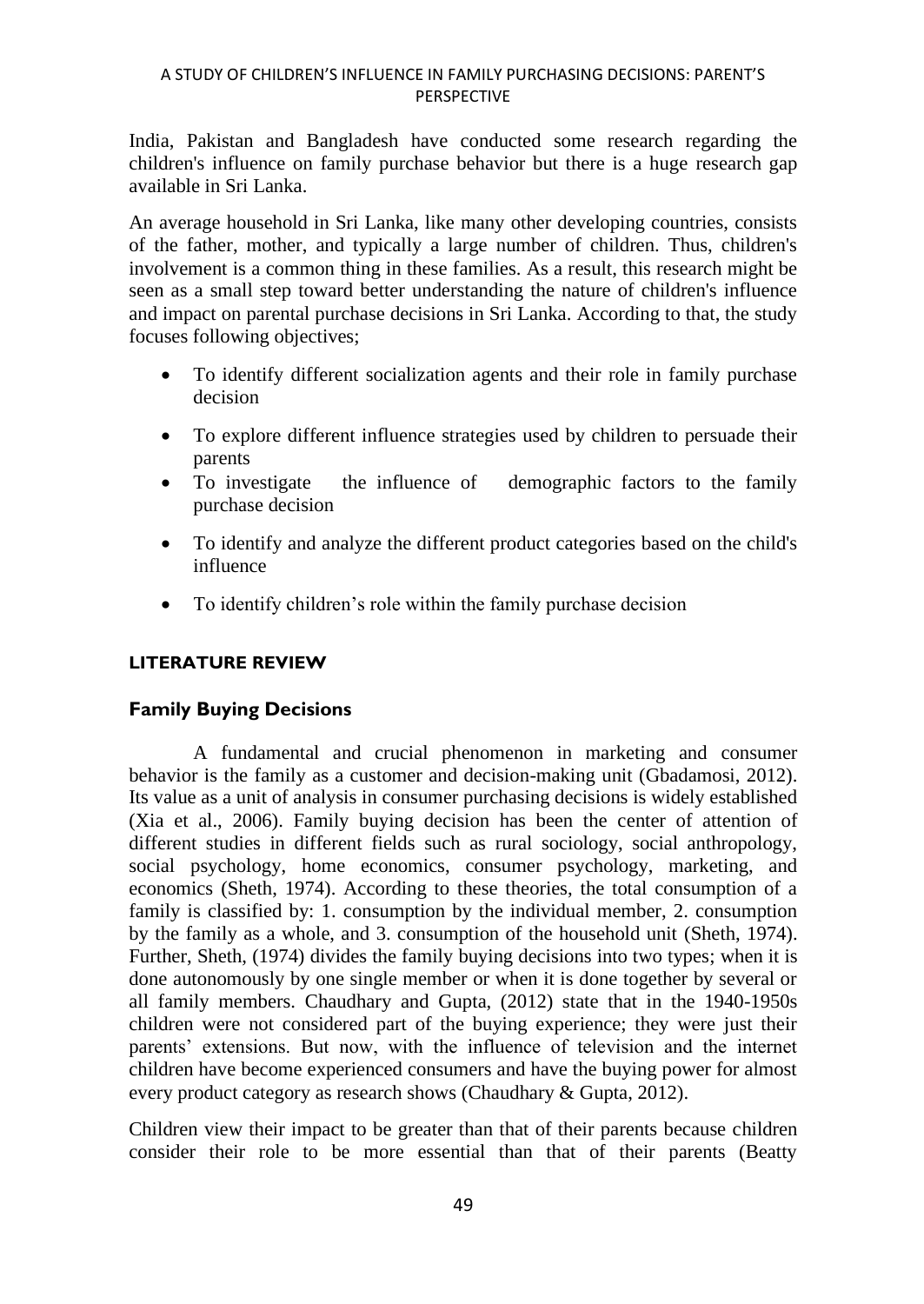India, Pakistan and Bangladesh have conducted some research regarding the children's influence on family purchase behavior but there is a huge research gap available in Sri Lanka.

An average household in Sri Lanka, like many other developing countries, consists of the father, mother, and typically a large number of children. Thus, children's involvement is a common thing in these families. As a result, this research might be seen as a small step toward better understanding the nature of children's influence and impact on parental purchase decisions in Sri Lanka. According to that, the study focuses following objectives;

- To identify different socialization agents and their role in family purchase decision
- To explore different influence strategies used by children to persuade their parents
- To investigate the influence of demographic factors to the family purchase decision
- To identify and analyze the different product categories based on the child's influence
- To identify children's role within the family purchase decision

# **LITERATURE REVIEW**

# **Family Buying Decisions**

A fundamental and crucial phenomenon in marketing and consumer behavior is the family as a customer and decision-making unit (Gbadamosi, 2012). Its value as a unit of analysis in consumer purchasing decisions is widely established (Xia et al., 2006). Family buying decision has been the center of attention of different studies in different fields such as rural sociology, social anthropology, social psychology, home economics, consumer psychology, marketing, and economics (Sheth, 1974). According to these theories, the total consumption of a family is classified by: 1. consumption by the individual member, 2. consumption by the family as a whole, and 3. consumption of the household unit (Sheth, 1974). Further, Sheth, (1974) divides the family buying decisions into two types; when it is done autonomously by one single member or when it is done together by several or all family members. Chaudhary and Gupta, (2012) state that in the 1940-1950s children were not considered part of the buying experience; they were just their parents' extensions. But now, with the influence of television and the internet children have become experienced consumers and have the buying power for almost every product category as research shows (Chaudhary & Gupta, 2012).

Children view their impact to be greater than that of their parents because children consider their role to be more essential than that of their parents (Beatty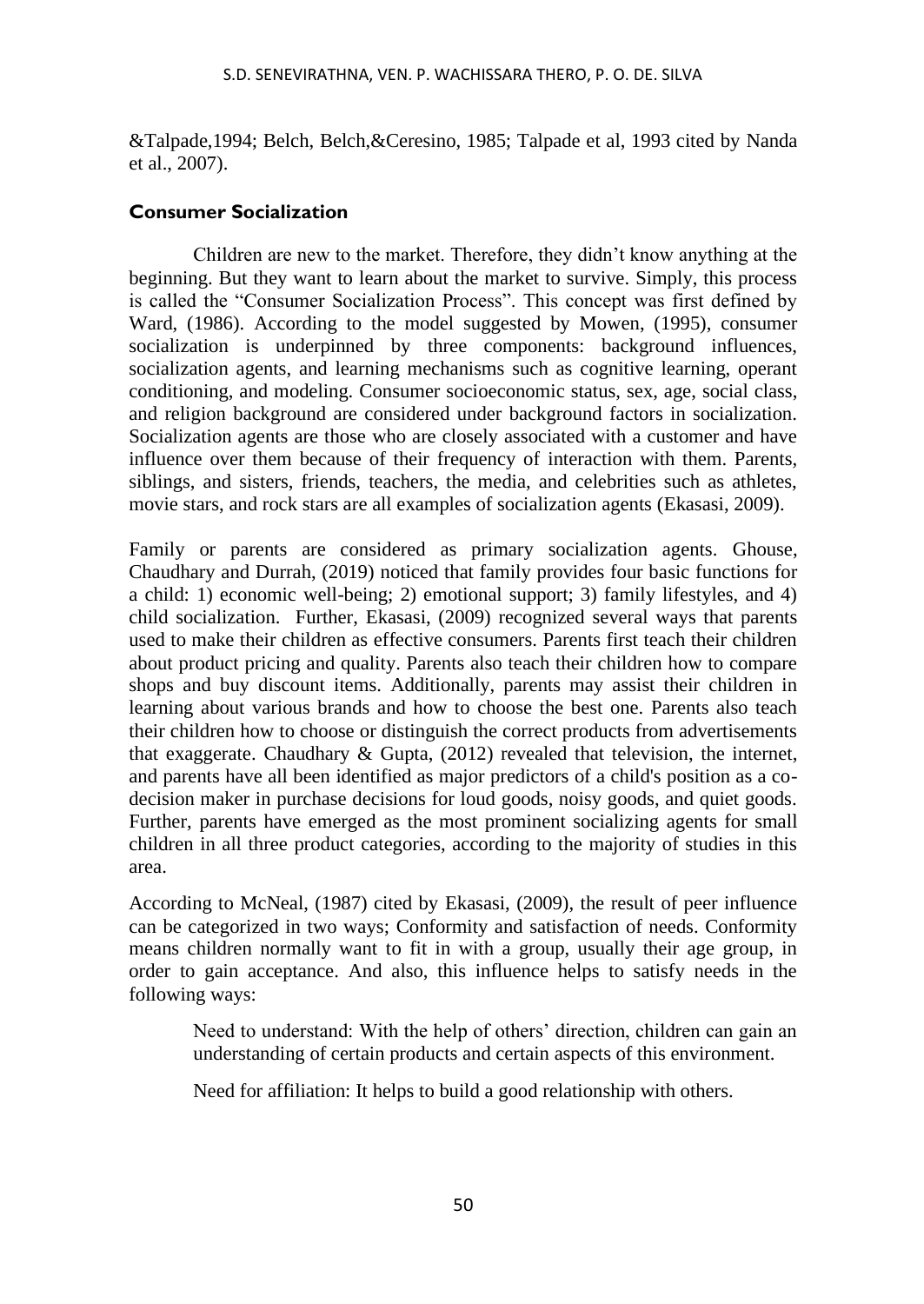&Talpade,1994; Belch, Belch,&Ceresino, 1985; Talpade et al, 1993 cited by Nanda et al., 2007).

### **Consumer Socialization**

Children are new to the market. Therefore, they didn't know anything at the beginning. But they want to learn about the market to survive. Simply, this process is called the "Consumer Socialization Process". This concept was first defined by Ward, (1986). According to the model suggested by Mowen, (1995), consumer socialization is underpinned by three components: background influences, socialization agents, and learning mechanisms such as cognitive learning, operant conditioning, and modeling. Consumer socioeconomic status, sex, age, social class, and religion background are considered under background factors in socialization. Socialization agents are those who are closely associated with a customer and have influence over them because of their frequency of interaction with them. Parents, siblings, and sisters, friends, teachers, the media, and celebrities such as athletes, movie stars, and rock stars are all examples of socialization agents (Ekasasi, 2009).

Family or parents are considered as primary socialization agents. Ghouse, Chaudhary and Durrah, (2019) noticed that family provides four basic functions for a child: 1) economic well-being; 2) emotional support; 3) family lifestyles, and 4) child socialization. Further, Ekasasi, (2009) recognized several ways that parents used to make their children as effective consumers. Parents first teach their children about product pricing and quality. Parents also teach their children how to compare shops and buy discount items. Additionally, parents may assist their children in learning about various brands and how to choose the best one. Parents also teach their children how to choose or distinguish the correct products from advertisements that exaggerate. Chaudhary & Gupta, (2012) revealed that television, the internet, and parents have all been identified as major predictors of a child's position as a codecision maker in purchase decisions for loud goods, noisy goods, and quiet goods. Further, parents have emerged as the most prominent socializing agents for small children in all three product categories, according to the majority of studies in this area.

According to McNeal, (1987) cited by Ekasasi, (2009), the result of peer influence can be categorized in two ways; Conformity and satisfaction of needs. Conformity means children normally want to fit in with a group, usually their age group, in order to gain acceptance. And also, this influence helps to satisfy needs in the following ways:

Need to understand: With the help of others' direction, children can gain an understanding of certain products and certain aspects of this environment.

Need for affiliation: It helps to build a good relationship with others.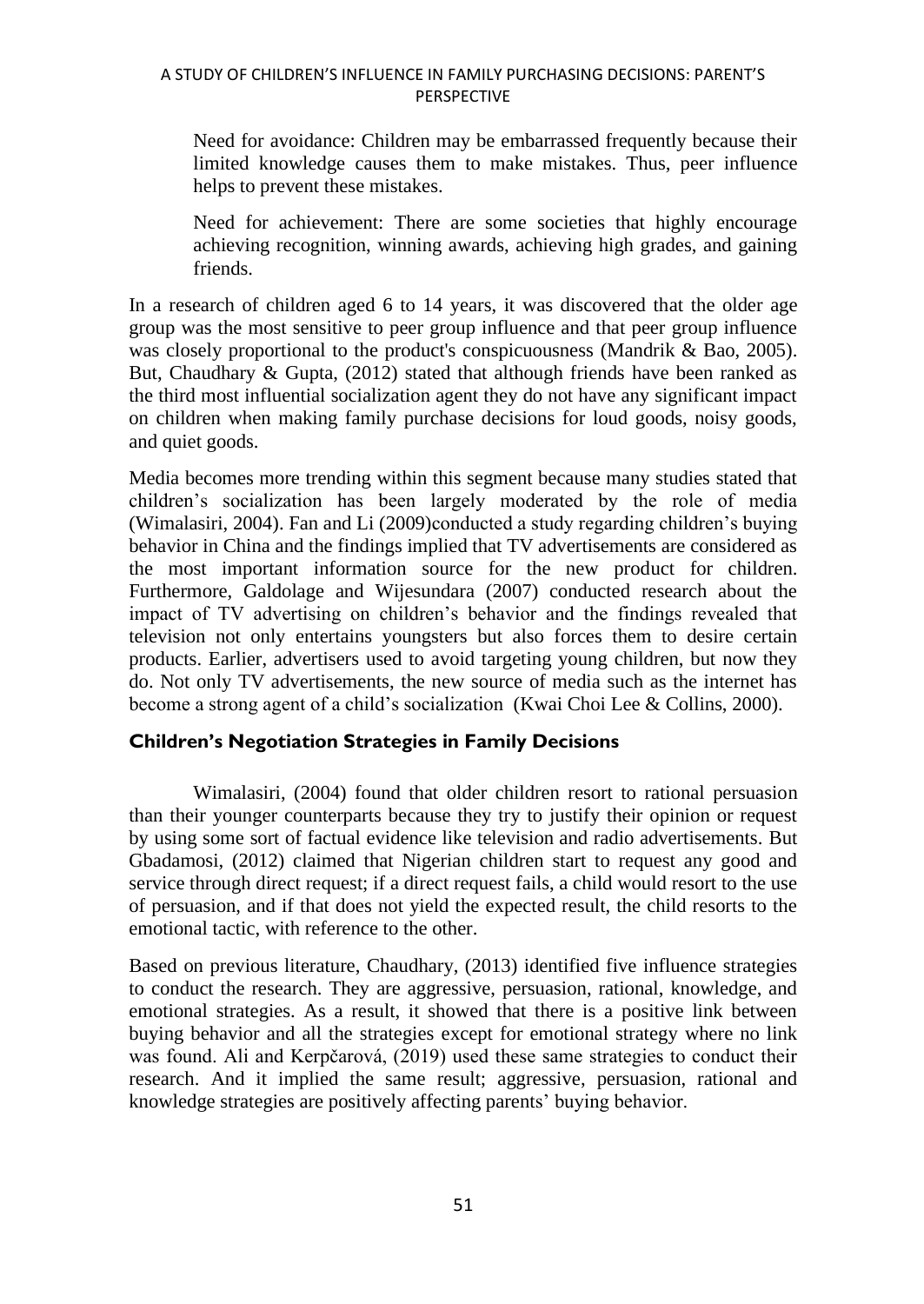Need for avoidance: Children may be embarrassed frequently because their limited knowledge causes them to make mistakes. Thus, peer influence helps to prevent these mistakes.

Need for achievement: There are some societies that highly encourage achieving recognition, winning awards, achieving high grades, and gaining friends.

In a research of children aged 6 to 14 years, it was discovered that the older age group was the most sensitive to peer group influence and that peer group influence was closely proportional to the product's conspicuousness (Mandrik & Bao, 2005). But, Chaudhary  $\&$  Gupta, (2012) stated that although friends have been ranked as the third most influential socialization agent they do not have any significant impact on children when making family purchase decisions for loud goods, noisy goods, and quiet goods.

Media becomes more trending within this segment because many studies stated that children's socialization has been largely moderated by the role of media (Wimalasiri, 2004). Fan and Li (2009)conducted a study regarding children's buying behavior in China and the findings implied that TV advertisements are considered as the most important information source for the new product for children. Furthermore, Galdolage and Wijesundara (2007) conducted research about the impact of TV advertising on children's behavior and the findings revealed that television not only entertains youngsters but also forces them to desire certain products. Earlier, advertisers used to avoid targeting young children, but now they do. Not only TV advertisements, the new source of media such as the internet has become a strong agent of a child's socialization (Kwai Choi Lee & Collins, 2000).

# **Children's Negotiation Strategies in Family Decisions**

Wimalasiri, (2004) found that older children resort to rational persuasion than their younger counterparts because they try to justify their opinion or request by using some sort of factual evidence like television and radio advertisements. But Gbadamosi, (2012) claimed that Nigerian children start to request any good and service through direct request; if a direct request fails, a child would resort to the use of persuasion, and if that does not yield the expected result, the child resorts to the emotional tactic, with reference to the other.

Based on previous literature, Chaudhary, (2013) identified five influence strategies to conduct the research. They are aggressive, persuasion, rational, knowledge, and emotional strategies. As a result, it showed that there is a positive link between buying behavior and all the strategies except for emotional strategy where no link was found. Ali and Kerpčarová, (2019) used these same strategies to conduct their research. And it implied the same result; aggressive, persuasion, rational and knowledge strategies are positively affecting parents' buying behavior.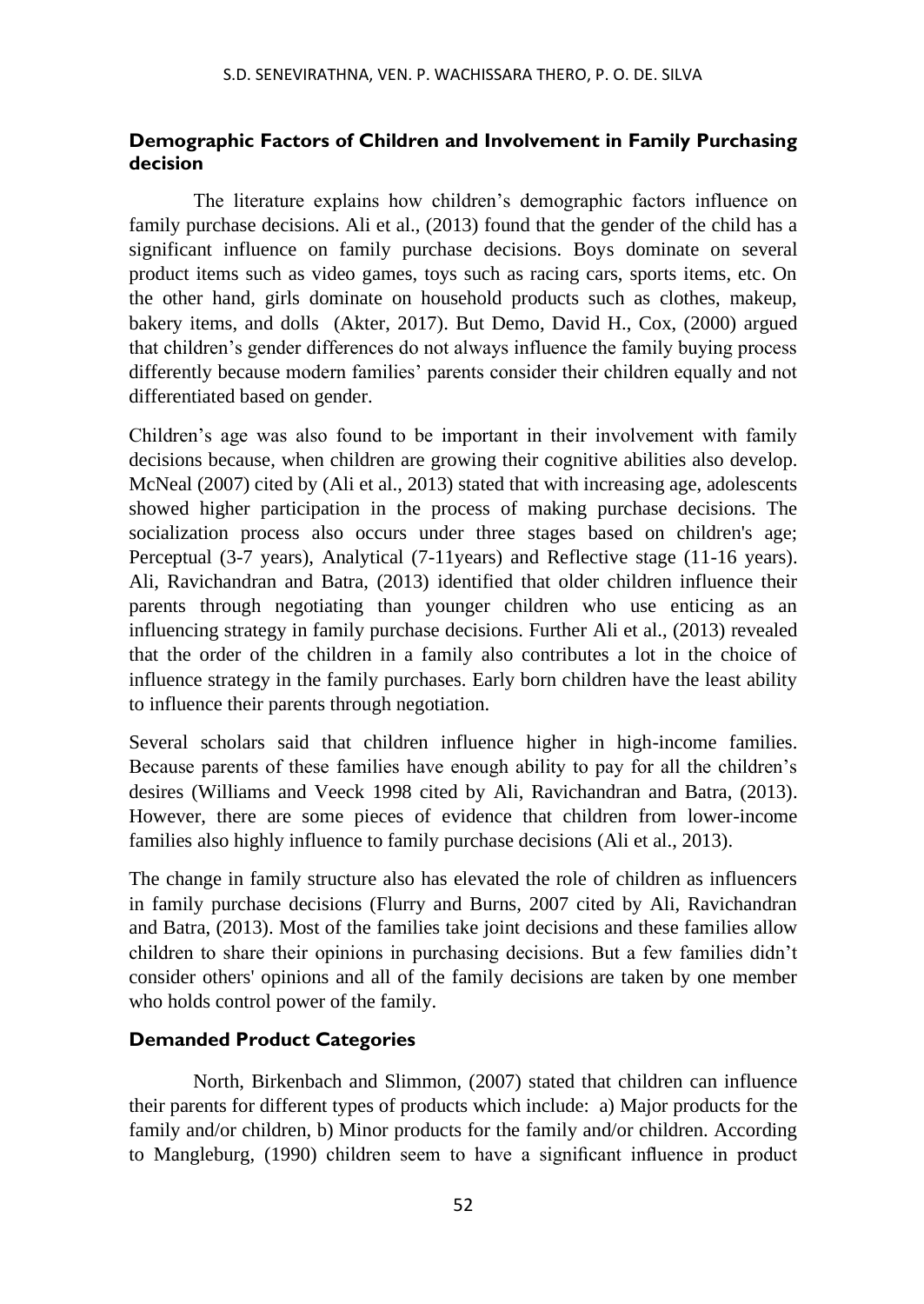# **Demographic Factors of Children and Involvement in Family Purchasing decision**

The literature explains how children's demographic factors influence on family purchase decisions. Ali et al., (2013) found that the gender of the child has a significant influence on family purchase decisions. Boys dominate on several product items such as video games, toys such as racing cars, sports items, etc. On the other hand, girls dominate on household products such as clothes, makeup, bakery items, and dolls (Akter, 2017). But Demo, David H., Cox, (2000) argued that children's gender differences do not always influence the family buying process differently because modern families' parents consider their children equally and not differentiated based on gender.

Children's age was also found to be important in their involvement with family decisions because, when children are growing their cognitive abilities also develop. McNeal (2007) cited by (Ali et al., 2013) stated that with increasing age, adolescents showed higher participation in the process of making purchase decisions. The socialization process also occurs under three stages based on children's age; Perceptual (3-7 years), Analytical (7-11years) and Reflective stage (11-16 years). Ali, Ravichandran and Batra, (2013) identified that older children influence their parents through negotiating than younger children who use enticing as an influencing strategy in family purchase decisions. Further Ali et al., (2013) revealed that the order of the children in a family also contributes a lot in the choice of influence strategy in the family purchases. Early born children have the least ability to influence their parents through negotiation.

Several scholars said that children influence higher in high-income families. Because parents of these families have enough ability to pay for all the children's desires (Williams and Veeck 1998 cited by Ali, Ravichandran and Batra, (2013). However, there are some pieces of evidence that children from lower-income families also highly influence to family purchase decisions (Ali et al., 2013).

The change in family structure also has elevated the role of children as influencers in family purchase decisions (Flurry and Burns, 2007 cited by Ali, Ravichandran and Batra, (2013). Most of the families take joint decisions and these families allow children to share their opinions in purchasing decisions. But a few families didn't consider others' opinions and all of the family decisions are taken by one member who holds control power of the family.

# **Demanded Product Categories**

North, Birkenbach and Slimmon, (2007) stated that children can influence their parents for different types of products which include: a) Major products for the family and/or children, b) Minor products for the family and/or children. According to Mangleburg, (1990) children seem to have a significant influence in product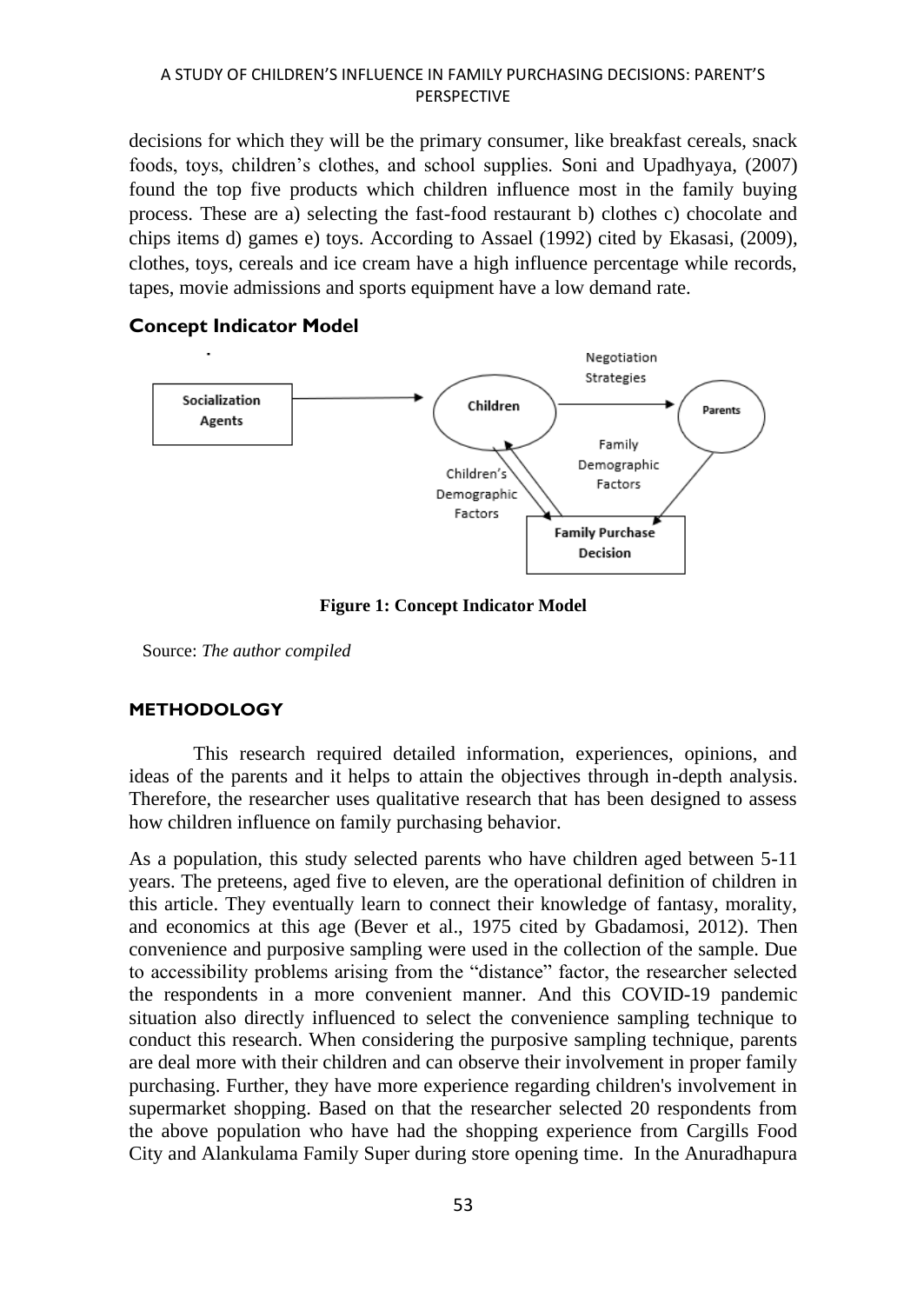decisions for which they will be the primary consumer, like breakfast cereals, snack foods, toys, children's clothes, and school supplies. Soni and Upadhyaya, (2007) found the top five products which children influence most in the family buying process. These are a) selecting the fast-food restaurant b) clothes c) chocolate and chips items d) games e) toys. According to Assael (1992) cited by Ekasasi, (2009), clothes, toys, cereals and ice cream have a high influence percentage while records, tapes, movie admissions and sports equipment have a low demand rate.

### **Concept Indicator Model**



### **Figure 1: Concept Indicator Model**

Source: *The author compiled*

# **METHODOLOGY**

This research required detailed information, experiences, opinions, and ideas of the parents and it helps to attain the objectives through in-depth analysis. Therefore, the researcher uses qualitative research that has been designed to assess how children influence on family purchasing behavior.

As a population, this study selected parents who have children aged between 5-11 years. The preteens, aged five to eleven, are the operational definition of children in this article. They eventually learn to connect their knowledge of fantasy, morality, and economics at this age (Bever et al., 1975 cited by Gbadamosi, 2012). Then convenience and purposive sampling were used in the collection of the sample. Due to accessibility problems arising from the "distance" factor, the researcher selected the respondents in a more convenient manner. And this COVID-19 pandemic situation also directly influenced to select the convenience sampling technique to conduct this research. When considering the purposive sampling technique, parents are deal more with their children and can observe their involvement in proper family purchasing. Further, they have more experience regarding children's involvement in supermarket shopping. Based on that the researcher selected 20 respondents from the above population who have had the shopping experience from Cargills Food City and Alankulama Family Super during store opening time. In the Anuradhapura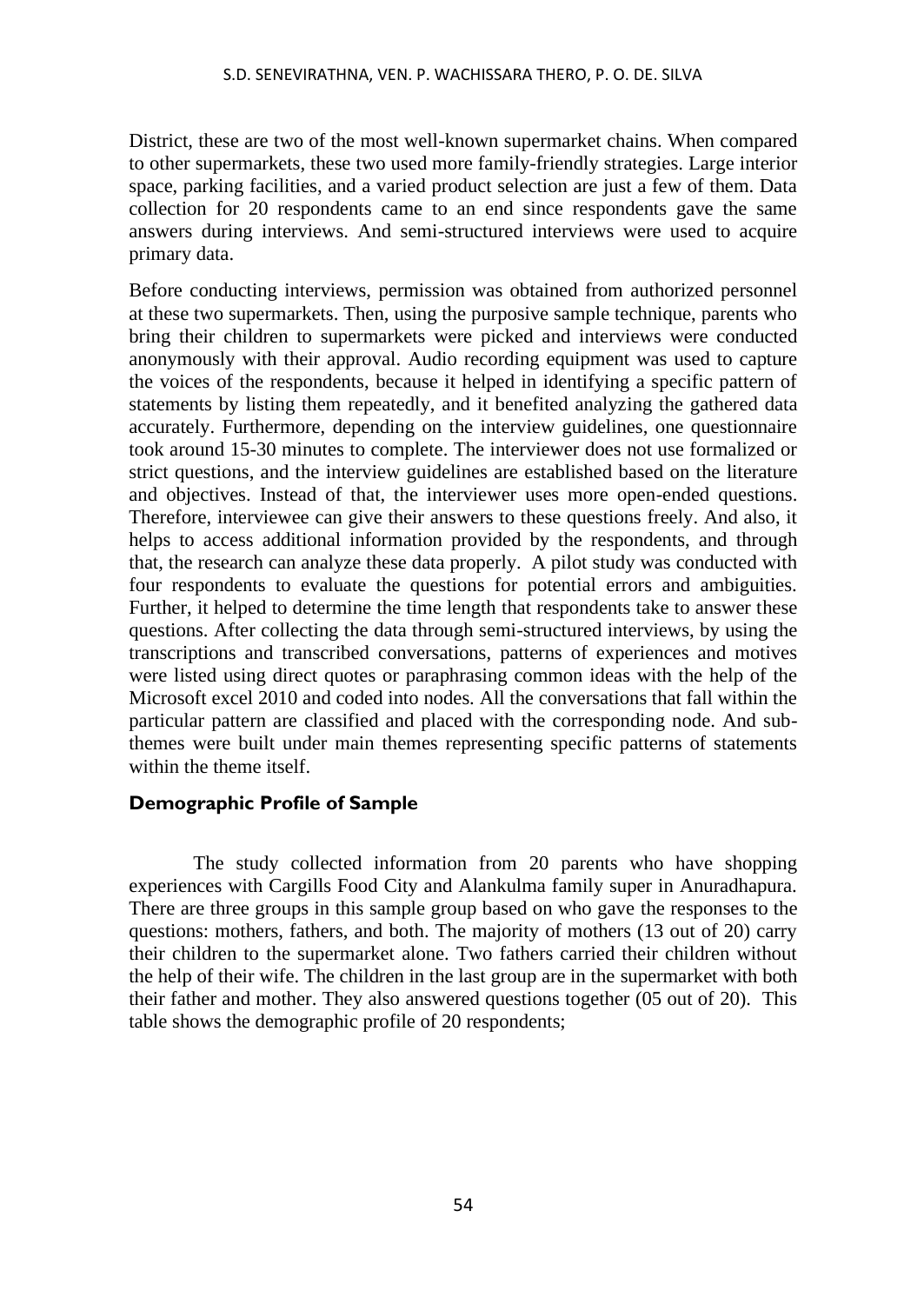District, these are two of the most well-known supermarket chains. When compared to other supermarkets, these two used more family-friendly strategies. Large interior space, parking facilities, and a varied product selection are just a few of them. Data collection for 20 respondents came to an end since respondents gave the same answers during interviews. And semi-structured interviews were used to acquire primary data.

Before conducting interviews, permission was obtained from authorized personnel at these two supermarkets. Then, using the purposive sample technique, parents who bring their children to supermarkets were picked and interviews were conducted anonymously with their approval. Audio recording equipment was used to capture the voices of the respondents, because it helped in identifying a specific pattern of statements by listing them repeatedly, and it benefited analyzing the gathered data accurately. Furthermore, depending on the interview guidelines, one questionnaire took around 15-30 minutes to complete. The interviewer does not use formalized or strict questions, and the interview guidelines are established based on the literature and objectives. Instead of that, the interviewer uses more open-ended questions. Therefore, interviewee can give their answers to these questions freely. And also, it helps to access additional information provided by the respondents, and through that, the research can analyze these data properly. A pilot study was conducted with four respondents to evaluate the questions for potential errors and ambiguities. Further, it helped to determine the time length that respondents take to answer these questions. After collecting the data through semi-structured interviews, by using the transcriptions and transcribed conversations, patterns of experiences and motives were listed using direct quotes or paraphrasing common ideas with the help of the Microsoft excel 2010 and coded into nodes. All the conversations that fall within the particular pattern are classified and placed with the corresponding node. And subthemes were built under main themes representing specific patterns of statements within the theme itself

# **Demographic Profile of Sample**

The study collected information from 20 parents who have shopping experiences with Cargills Food City and Alankulma family super in Anuradhapura. There are three groups in this sample group based on who gave the responses to the questions: mothers, fathers, and both. The majority of mothers (13 out of 20) carry their children to the supermarket alone. Two fathers carried their children without the help of their wife. The children in the last group are in the supermarket with both their father and mother. They also answered questions together (05 out of 20). This table shows the demographic profile of 20 respondents;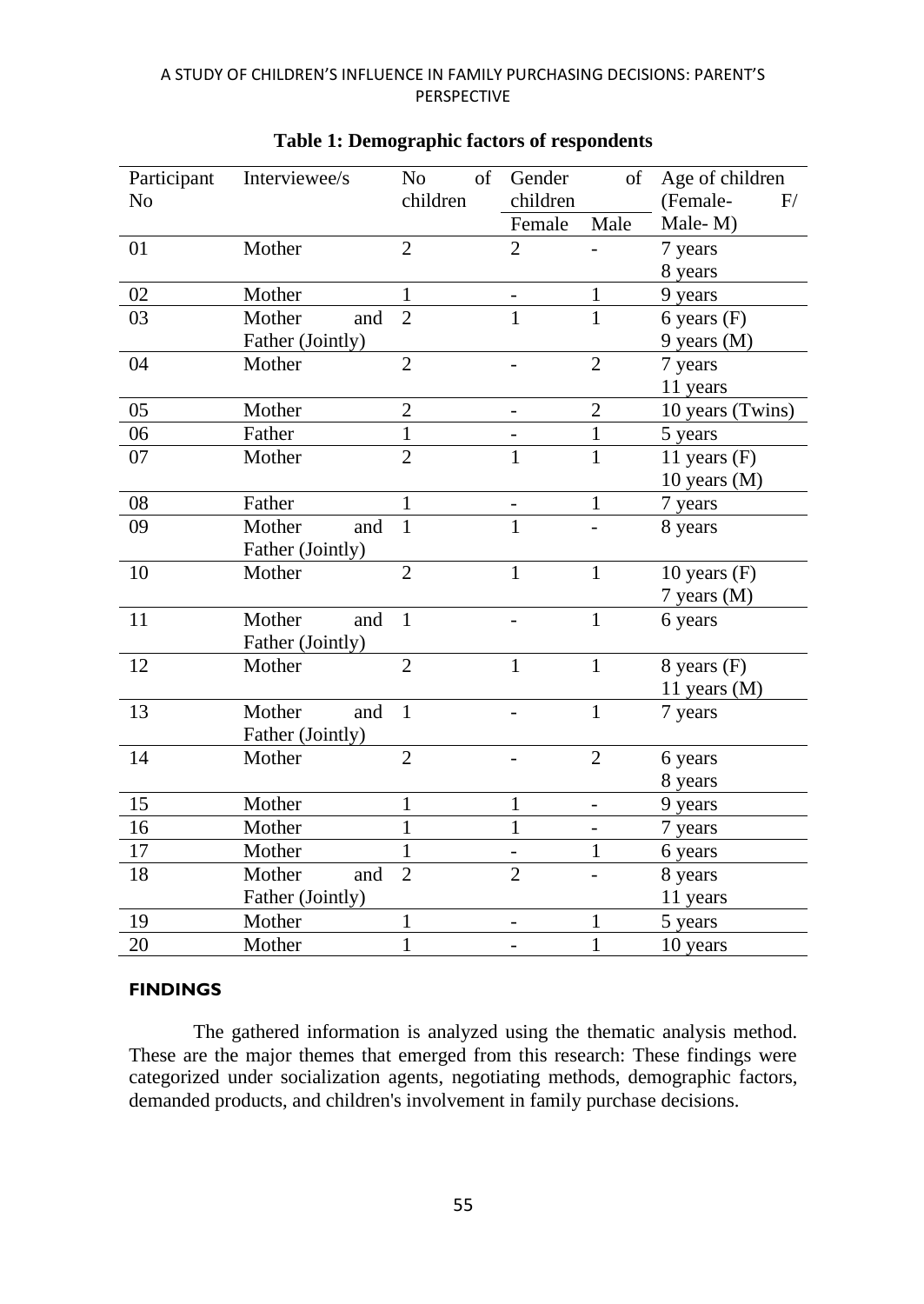| of<br>children<br>children<br>N <sub>o</sub><br>(Female-<br>F/<br>Female<br>Male<br>Male-M)<br>$\overline{2}$<br>$\overline{2}$<br>01<br>Mother<br>7 years<br>8 years<br>02<br>Mother<br>$\mathbf{1}$<br>$\mathbf{1}$<br>9 years<br>$\overline{2}$<br>$\mathbf{1}$<br>$\mathbf{1}$<br>03<br>Mother<br>and<br>$6$ years $(F)$<br>Father (Jointly)<br>9 years (M)<br>$\overline{2}$<br>$\overline{2}$<br>04<br>7 years<br>Mother<br>11 years<br>$\overline{2}$<br>05<br>$\overline{2}$<br>10 years (Twins)<br>Mother<br>$\mathbf{1}$<br>$\mathbf{1}$<br>06<br>Father<br>5 years<br>$\overline{2}$<br>$\overline{1}$<br>07<br>$\mathbf{1}$<br>Mother<br>11 years $(F)$<br>10 years $(M)$<br>$08\,$<br>Father<br>$\mathbf{1}$<br>7 years<br>1<br>$\mathbf{1}$<br>$\mathbf{1}$<br>09<br>Mother<br>and<br>8 years<br>Father (Jointly)<br>$\overline{2}$<br>$\mathbf{1}$<br>$\mathbf{1}$<br>10<br>Mother<br>$10$ years $(F)$<br>7 years (M)<br>$\mathbf{1}$<br>11<br>Mother<br>and<br>$\mathbf{1}$<br>6 years<br>Father (Jointly)<br>$\overline{2}$<br>12<br>$\mathbf{1}$<br>$\mathbf{1}$<br>8 years (F)<br>Mother<br>11 years (M)<br>13<br>$\overline{1}$<br>Mother<br>$\mathbf{1}$<br>and<br>7 years<br>Father (Jointly)<br>$\overline{2}$<br>$\overline{2}$<br>14<br>Mother<br>6 years<br>8 years<br>15<br>Mother<br>$\mathbf{1}$<br>$\mathbf{1}$<br>9 years<br>-<br>$\mathbf{1}$<br>16<br>$\mathbf{1}$<br>Mother<br>7 years<br>$\overline{\phantom{0}}$<br>$\mathbf{1}$<br>17<br>$\mathbf{1}$<br>Mother<br>6 years<br>$\overline{2}$<br>$\overline{2}$<br>18<br>Mother<br>and<br>8 years<br>$\overline{a}$<br>Father (Jointly)<br>11 years<br>$\mathbf{1}$<br>19<br>Mother<br>$\mathbf{1}$<br>5 years |             |               |                |        |              |                 |
|----------------------------------------------------------------------------------------------------------------------------------------------------------------------------------------------------------------------------------------------------------------------------------------------------------------------------------------------------------------------------------------------------------------------------------------------------------------------------------------------------------------------------------------------------------------------------------------------------------------------------------------------------------------------------------------------------------------------------------------------------------------------------------------------------------------------------------------------------------------------------------------------------------------------------------------------------------------------------------------------------------------------------------------------------------------------------------------------------------------------------------------------------------------------------------------------------------------------------------------------------------------------------------------------------------------------------------------------------------------------------------------------------------------------------------------------------------------------------------------------------------------------------------------------------------------------------------------------------------------------------------------------------------------------------------------------------|-------------|---------------|----------------|--------|--------------|-----------------|
|                                                                                                                                                                                                                                                                                                                                                                                                                                                                                                                                                                                                                                                                                                                                                                                                                                                                                                                                                                                                                                                                                                                                                                                                                                                                                                                                                                                                                                                                                                                                                                                                                                                                                                    | Participant | Interviewee/s | N <sub>o</sub> | Gender | of           | Age of children |
|                                                                                                                                                                                                                                                                                                                                                                                                                                                                                                                                                                                                                                                                                                                                                                                                                                                                                                                                                                                                                                                                                                                                                                                                                                                                                                                                                                                                                                                                                                                                                                                                                                                                                                    |             |               |                |        |              |                 |
|                                                                                                                                                                                                                                                                                                                                                                                                                                                                                                                                                                                                                                                                                                                                                                                                                                                                                                                                                                                                                                                                                                                                                                                                                                                                                                                                                                                                                                                                                                                                                                                                                                                                                                    |             |               |                |        |              |                 |
|                                                                                                                                                                                                                                                                                                                                                                                                                                                                                                                                                                                                                                                                                                                                                                                                                                                                                                                                                                                                                                                                                                                                                                                                                                                                                                                                                                                                                                                                                                                                                                                                                                                                                                    |             |               |                |        |              |                 |
|                                                                                                                                                                                                                                                                                                                                                                                                                                                                                                                                                                                                                                                                                                                                                                                                                                                                                                                                                                                                                                                                                                                                                                                                                                                                                                                                                                                                                                                                                                                                                                                                                                                                                                    |             |               |                |        |              |                 |
|                                                                                                                                                                                                                                                                                                                                                                                                                                                                                                                                                                                                                                                                                                                                                                                                                                                                                                                                                                                                                                                                                                                                                                                                                                                                                                                                                                                                                                                                                                                                                                                                                                                                                                    |             |               |                |        |              |                 |
|                                                                                                                                                                                                                                                                                                                                                                                                                                                                                                                                                                                                                                                                                                                                                                                                                                                                                                                                                                                                                                                                                                                                                                                                                                                                                                                                                                                                                                                                                                                                                                                                                                                                                                    |             |               |                |        |              |                 |
|                                                                                                                                                                                                                                                                                                                                                                                                                                                                                                                                                                                                                                                                                                                                                                                                                                                                                                                                                                                                                                                                                                                                                                                                                                                                                                                                                                                                                                                                                                                                                                                                                                                                                                    |             |               |                |        |              |                 |
|                                                                                                                                                                                                                                                                                                                                                                                                                                                                                                                                                                                                                                                                                                                                                                                                                                                                                                                                                                                                                                                                                                                                                                                                                                                                                                                                                                                                                                                                                                                                                                                                                                                                                                    |             |               |                |        |              |                 |
|                                                                                                                                                                                                                                                                                                                                                                                                                                                                                                                                                                                                                                                                                                                                                                                                                                                                                                                                                                                                                                                                                                                                                                                                                                                                                                                                                                                                                                                                                                                                                                                                                                                                                                    |             |               |                |        |              |                 |
|                                                                                                                                                                                                                                                                                                                                                                                                                                                                                                                                                                                                                                                                                                                                                                                                                                                                                                                                                                                                                                                                                                                                                                                                                                                                                                                                                                                                                                                                                                                                                                                                                                                                                                    |             |               |                |        |              |                 |
|                                                                                                                                                                                                                                                                                                                                                                                                                                                                                                                                                                                                                                                                                                                                                                                                                                                                                                                                                                                                                                                                                                                                                                                                                                                                                                                                                                                                                                                                                                                                                                                                                                                                                                    |             |               |                |        |              |                 |
|                                                                                                                                                                                                                                                                                                                                                                                                                                                                                                                                                                                                                                                                                                                                                                                                                                                                                                                                                                                                                                                                                                                                                                                                                                                                                                                                                                                                                                                                                                                                                                                                                                                                                                    |             |               |                |        |              |                 |
|                                                                                                                                                                                                                                                                                                                                                                                                                                                                                                                                                                                                                                                                                                                                                                                                                                                                                                                                                                                                                                                                                                                                                                                                                                                                                                                                                                                                                                                                                                                                                                                                                                                                                                    |             |               |                |        |              |                 |
|                                                                                                                                                                                                                                                                                                                                                                                                                                                                                                                                                                                                                                                                                                                                                                                                                                                                                                                                                                                                                                                                                                                                                                                                                                                                                                                                                                                                                                                                                                                                                                                                                                                                                                    |             |               |                |        |              |                 |
|                                                                                                                                                                                                                                                                                                                                                                                                                                                                                                                                                                                                                                                                                                                                                                                                                                                                                                                                                                                                                                                                                                                                                                                                                                                                                                                                                                                                                                                                                                                                                                                                                                                                                                    |             |               |                |        |              |                 |
|                                                                                                                                                                                                                                                                                                                                                                                                                                                                                                                                                                                                                                                                                                                                                                                                                                                                                                                                                                                                                                                                                                                                                                                                                                                                                                                                                                                                                                                                                                                                                                                                                                                                                                    |             |               |                |        |              |                 |
|                                                                                                                                                                                                                                                                                                                                                                                                                                                                                                                                                                                                                                                                                                                                                                                                                                                                                                                                                                                                                                                                                                                                                                                                                                                                                                                                                                                                                                                                                                                                                                                                                                                                                                    |             |               |                |        |              |                 |
|                                                                                                                                                                                                                                                                                                                                                                                                                                                                                                                                                                                                                                                                                                                                                                                                                                                                                                                                                                                                                                                                                                                                                                                                                                                                                                                                                                                                                                                                                                                                                                                                                                                                                                    |             |               |                |        |              |                 |
|                                                                                                                                                                                                                                                                                                                                                                                                                                                                                                                                                                                                                                                                                                                                                                                                                                                                                                                                                                                                                                                                                                                                                                                                                                                                                                                                                                                                                                                                                                                                                                                                                                                                                                    |             |               |                |        |              |                 |
|                                                                                                                                                                                                                                                                                                                                                                                                                                                                                                                                                                                                                                                                                                                                                                                                                                                                                                                                                                                                                                                                                                                                                                                                                                                                                                                                                                                                                                                                                                                                                                                                                                                                                                    |             |               |                |        |              |                 |
|                                                                                                                                                                                                                                                                                                                                                                                                                                                                                                                                                                                                                                                                                                                                                                                                                                                                                                                                                                                                                                                                                                                                                                                                                                                                                                                                                                                                                                                                                                                                                                                                                                                                                                    |             |               |                |        |              |                 |
|                                                                                                                                                                                                                                                                                                                                                                                                                                                                                                                                                                                                                                                                                                                                                                                                                                                                                                                                                                                                                                                                                                                                                                                                                                                                                                                                                                                                                                                                                                                                                                                                                                                                                                    |             |               |                |        |              |                 |
|                                                                                                                                                                                                                                                                                                                                                                                                                                                                                                                                                                                                                                                                                                                                                                                                                                                                                                                                                                                                                                                                                                                                                                                                                                                                                                                                                                                                                                                                                                                                                                                                                                                                                                    |             |               |                |        |              |                 |
|                                                                                                                                                                                                                                                                                                                                                                                                                                                                                                                                                                                                                                                                                                                                                                                                                                                                                                                                                                                                                                                                                                                                                                                                                                                                                                                                                                                                                                                                                                                                                                                                                                                                                                    |             |               |                |        |              |                 |
|                                                                                                                                                                                                                                                                                                                                                                                                                                                                                                                                                                                                                                                                                                                                                                                                                                                                                                                                                                                                                                                                                                                                                                                                                                                                                                                                                                                                                                                                                                                                                                                                                                                                                                    |             |               |                |        |              |                 |
|                                                                                                                                                                                                                                                                                                                                                                                                                                                                                                                                                                                                                                                                                                                                                                                                                                                                                                                                                                                                                                                                                                                                                                                                                                                                                                                                                                                                                                                                                                                                                                                                                                                                                                    |             |               |                |        |              |                 |
|                                                                                                                                                                                                                                                                                                                                                                                                                                                                                                                                                                                                                                                                                                                                                                                                                                                                                                                                                                                                                                                                                                                                                                                                                                                                                                                                                                                                                                                                                                                                                                                                                                                                                                    |             |               |                |        |              |                 |
|                                                                                                                                                                                                                                                                                                                                                                                                                                                                                                                                                                                                                                                                                                                                                                                                                                                                                                                                                                                                                                                                                                                                                                                                                                                                                                                                                                                                                                                                                                                                                                                                                                                                                                    |             |               |                |        |              |                 |
|                                                                                                                                                                                                                                                                                                                                                                                                                                                                                                                                                                                                                                                                                                                                                                                                                                                                                                                                                                                                                                                                                                                                                                                                                                                                                                                                                                                                                                                                                                                                                                                                                                                                                                    |             |               |                |        |              |                 |
|                                                                                                                                                                                                                                                                                                                                                                                                                                                                                                                                                                                                                                                                                                                                                                                                                                                                                                                                                                                                                                                                                                                                                                                                                                                                                                                                                                                                                                                                                                                                                                                                                                                                                                    |             |               |                |        |              |                 |
|                                                                                                                                                                                                                                                                                                                                                                                                                                                                                                                                                                                                                                                                                                                                                                                                                                                                                                                                                                                                                                                                                                                                                                                                                                                                                                                                                                                                                                                                                                                                                                                                                                                                                                    |             |               |                |        |              |                 |
|                                                                                                                                                                                                                                                                                                                                                                                                                                                                                                                                                                                                                                                                                                                                                                                                                                                                                                                                                                                                                                                                                                                                                                                                                                                                                                                                                                                                                                                                                                                                                                                                                                                                                                    |             |               |                |        |              |                 |
|                                                                                                                                                                                                                                                                                                                                                                                                                                                                                                                                                                                                                                                                                                                                                                                                                                                                                                                                                                                                                                                                                                                                                                                                                                                                                                                                                                                                                                                                                                                                                                                                                                                                                                    | 20          | Mother        | $\mathbf{1}$   |        | $\mathbf{1}$ | 10 years        |

# **Table 1: Demographic factors of respondents**

#### **FINDINGS**

The gathered information is analyzed using the thematic analysis method. These are the major themes that emerged from this research: These findings were categorized under socialization agents, negotiating methods, demographic factors, demanded products, and children's involvement in family purchase decisions.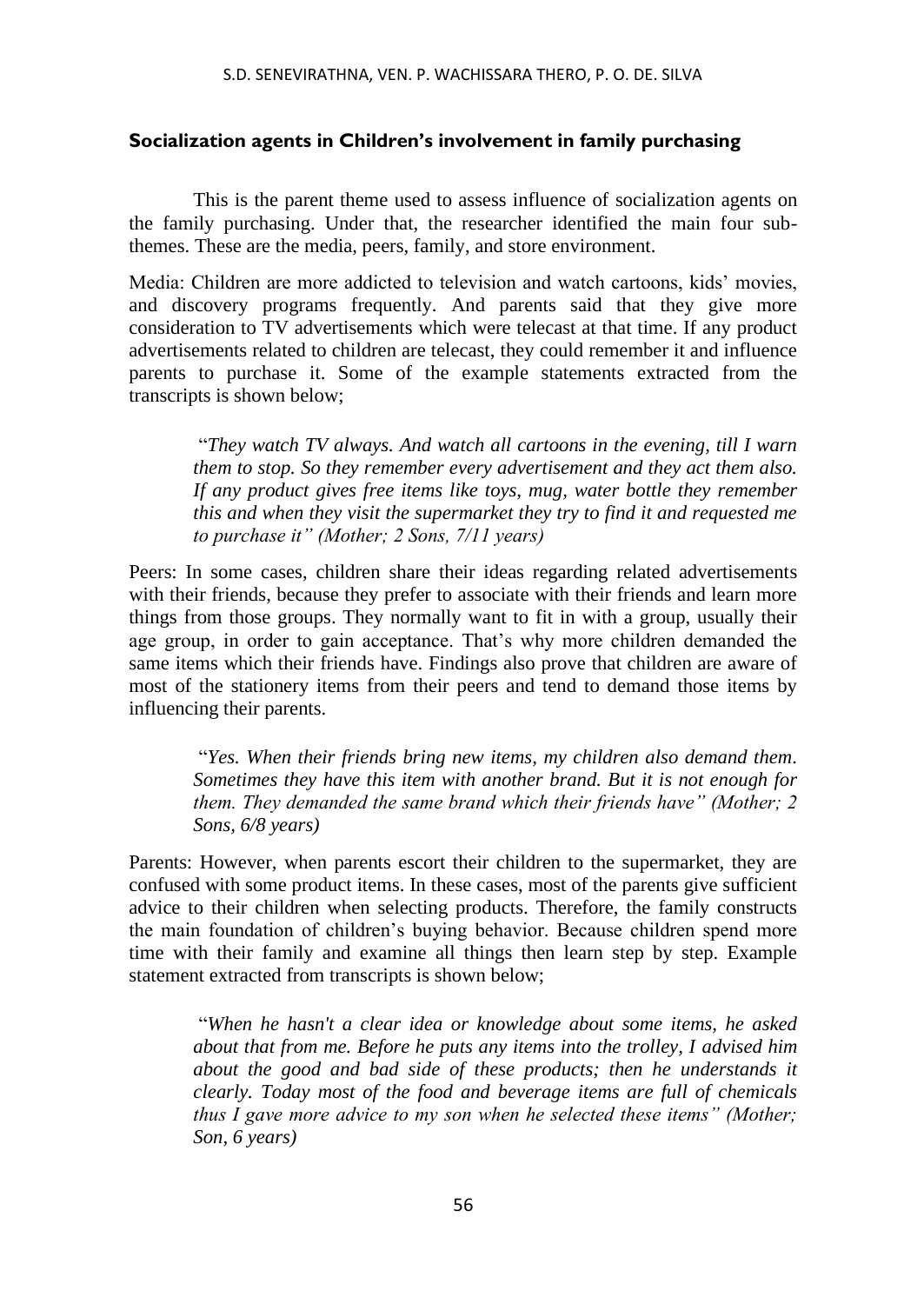# **Socialization agents in Children's involvement in family purchasing**

This is the parent theme used to assess influence of socialization agents on the family purchasing. Under that, the researcher identified the main four subthemes. These are the media, peers, family, and store environment.

Media: Children are more addicted to television and watch cartoons, kids' movies, and discovery programs frequently. And parents said that they give more consideration to TV advertisements which were telecast at that time. If any product advertisements related to children are telecast, they could remember it and influence parents to purchase it. Some of the example statements extracted from the transcripts is shown below;

"*They watch TV always. And watch all cartoons in the evening, till I warn them to stop. So they remember every advertisement and they act them also. If any product gives free items like toys, mug, water bottle they remember this and when they visit the supermarket they try to find it and requested me to purchase it" (Mother; 2 Sons, 7/11 years)*

Peers: In some cases, children share their ideas regarding related advertisements with their friends, because they prefer to associate with their friends and learn more things from those groups. They normally want to fit in with a group, usually their age group, in order to gain acceptance. That's why more children demanded the same items which their friends have. Findings also prove that children are aware of most of the stationery items from their peers and tend to demand those items by influencing their parents.

"*Yes. When their friends bring new items, my children also demand them. Sometimes they have this item with another brand. But it is not enough for them. They demanded the same brand which their friends have" (Mother; 2 Sons, 6/8 years)*

Parents: However, when parents escort their children to the supermarket, they are confused with some product items. In these cases, most of the parents give sufficient advice to their children when selecting products. Therefore, the family constructs the main foundation of children's buying behavior. Because children spend more time with their family and examine all things then learn step by step. Example statement extracted from transcripts is shown below;

"*When he hasn't a clear idea or knowledge about some items, he asked about that from me. Before he puts any items into the trolley, I advised him about the good and bad side of these products; then he understands it clearly. Today most of the food and beverage items are full of chemicals thus I gave more advice to my son when he selected these items" (Mother; Son, 6 years)*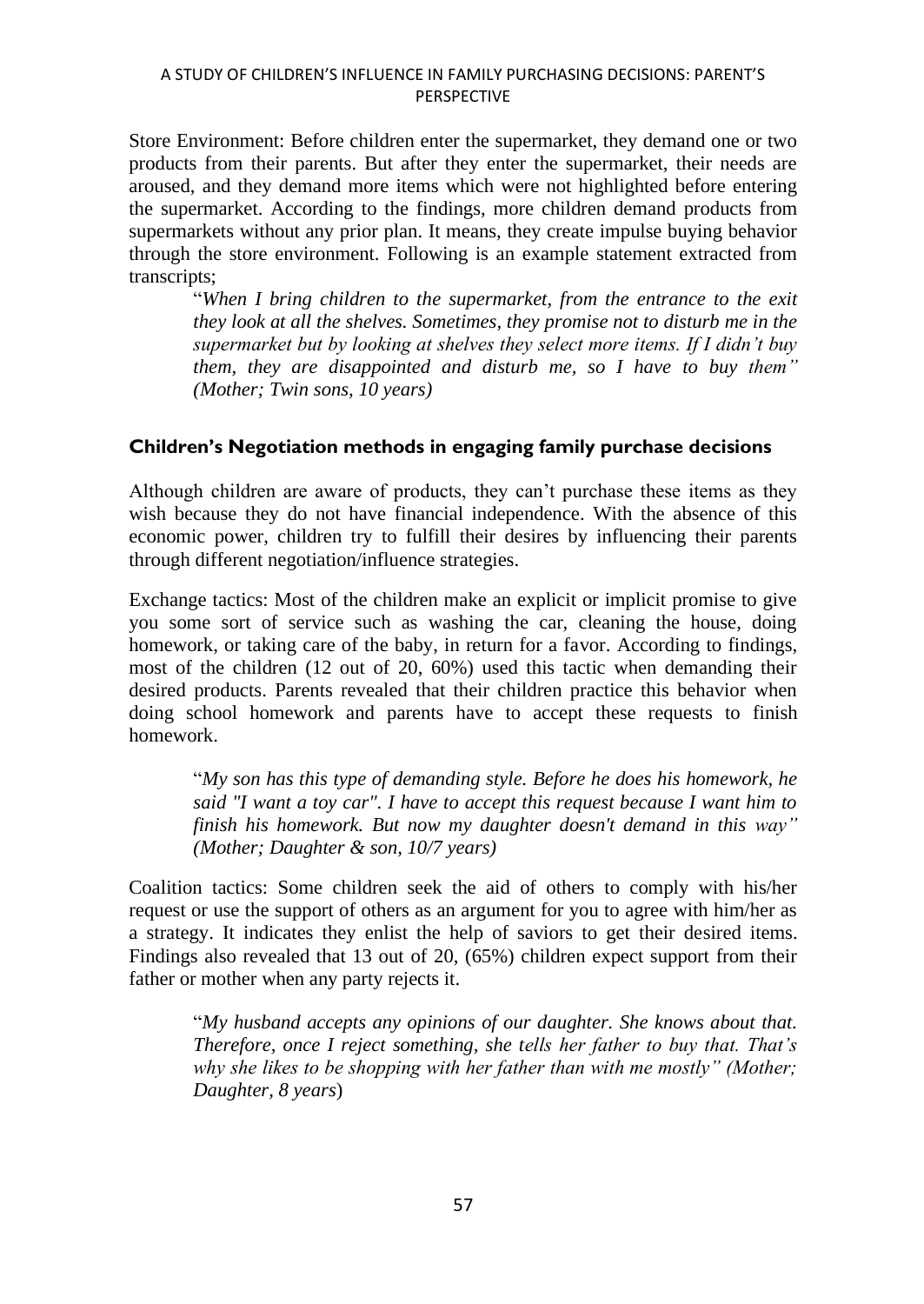Store Environment: Before children enter the supermarket, they demand one or two products from their parents. But after they enter the supermarket, their needs are aroused, and they demand more items which were not highlighted before entering the supermarket. According to the findings, more children demand products from supermarkets without any prior plan. It means, they create impulse buying behavior through the store environment. Following is an example statement extracted from transcripts;

"*When I bring children to the supermarket, from the entrance to the exit they look at all the shelves. Sometimes, they promise not to disturb me in the supermarket but by looking at shelves they select more items. If I didn't buy them, they are disappointed and disturb me, so I have to buy them" (Mother; Twin sons, 10 years)*

# **Children's Negotiation methods in engaging family purchase decisions**

Although children are aware of products, they can't purchase these items as they wish because they do not have financial independence. With the absence of this economic power, children try to fulfill their desires by influencing their parents through different negotiation/influence strategies.

Exchange tactics: Most of the children make an explicit or implicit promise to give you some sort of service such as washing the car, cleaning the house, doing homework, or taking care of the baby, in return for a favor. According to findings, most of the children (12 out of 20, 60%) used this tactic when demanding their desired products. Parents revealed that their children practice this behavior when doing school homework and parents have to accept these requests to finish homework.

"*My son has this type of demanding style. Before he does his homework, he said "I want a toy car". I have to accept this request because I want him to finish his homework. But now my daughter doesn't demand in this way" (Mother; Daughter & son, 10/7 years)*

Coalition tactics: Some children seek the aid of others to comply with his/her request or use the support of others as an argument for you to agree with him/her as a strategy. It indicates they enlist the help of saviors to get their desired items. Findings also revealed that 13 out of 20, (65%) children expect support from their father or mother when any party rejects it.

"*My husband accepts any opinions of our daughter. She knows about that. Therefore, once I reject something, she tells her father to buy that. That's why she likes to be shopping with her father than with me mostly" (Mother; Daughter, 8 years*)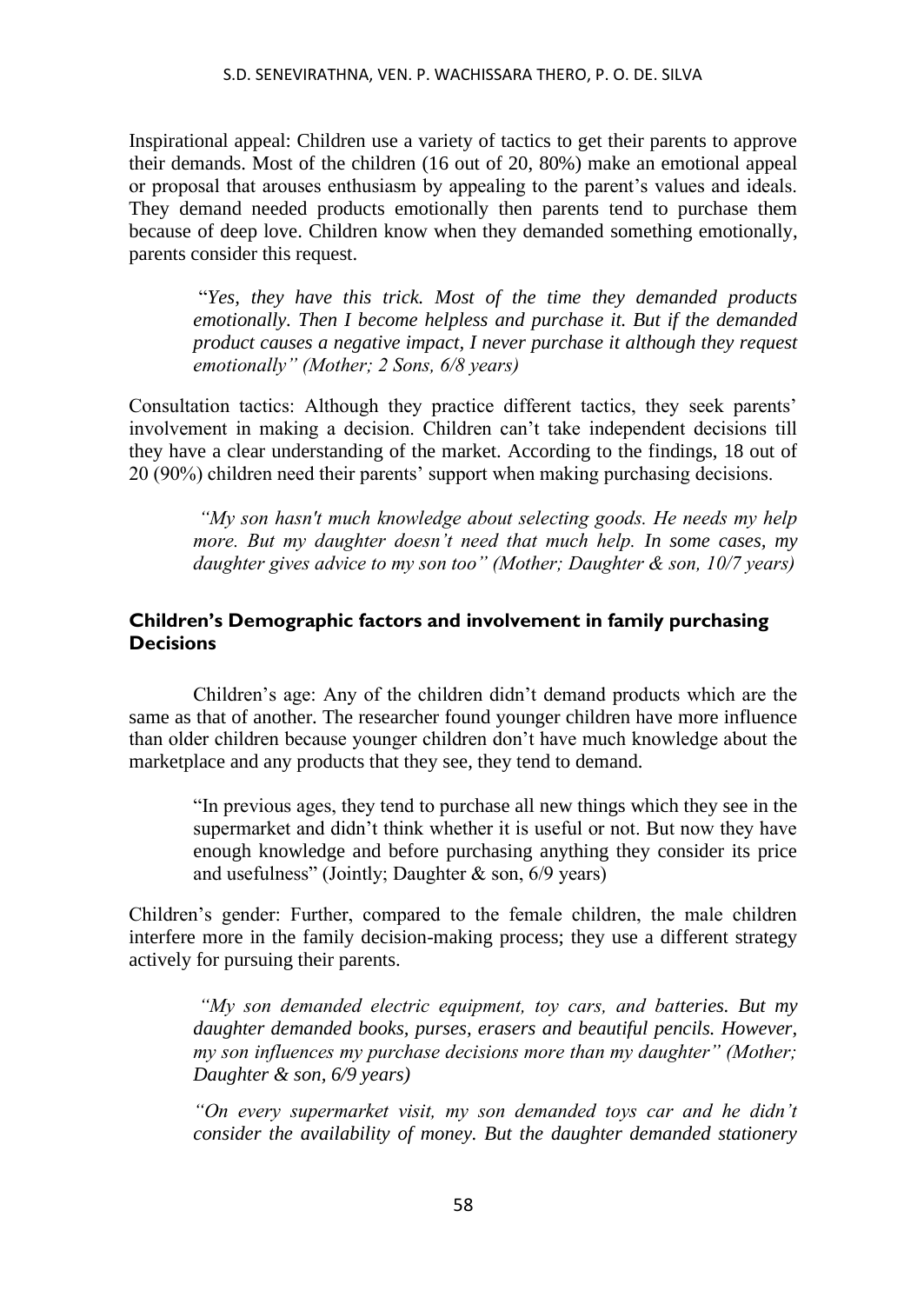Inspirational appeal: Children use a variety of tactics to get their parents to approve their demands. Most of the children (16 out of 20, 80%) make an emotional appeal or proposal that arouses enthusiasm by appealing to the parent's values and ideals. They demand needed products emotionally then parents tend to purchase them because of deep love. Children know when they demanded something emotionally, parents consider this request.

"*Yes, they have this trick. Most of the time they demanded products emotionally. Then I become helpless and purchase it. But if the demanded product causes a negative impact, I never purchase it although they request emotionally" (Mother; 2 Sons, 6/8 years)*

Consultation tactics: Although they practice different tactics, they seek parents' involvement in making a decision. Children can't take independent decisions till they have a clear understanding of the market. According to the findings, 18 out of 20 (90%) children need their parents' support when making purchasing decisions.

*"My son hasn't much knowledge about selecting goods. He needs my help more. But my daughter doesn't need that much help. In some cases, my daughter gives advice to my son too" (Mother; Daughter & son, 10/7 years)*

# **Children's Demographic factors and involvement in family purchasing Decisions**

Children's age: Any of the children didn't demand products which are the same as that of another. The researcher found younger children have more influence than older children because younger children don't have much knowledge about the marketplace and any products that they see, they tend to demand.

"In previous ages, they tend to purchase all new things which they see in the supermarket and didn't think whether it is useful or not. But now they have enough knowledge and before purchasing anything they consider its price and usefulness" (Jointly; Daughter & son, 6/9 years)

Children's gender: Further, compared to the female children, the male children interfere more in the family decision-making process; they use a different strategy actively for pursuing their parents.

*"My son demanded electric equipment, toy cars, and batteries. But my daughter demanded books, purses, erasers and beautiful pencils. However, my son influences my purchase decisions more than my daughter" (Mother; Daughter & son, 6/9 years)*

*"On every supermarket visit, my son demanded toys car and he didn't consider the availability of money. But the daughter demanded stationery*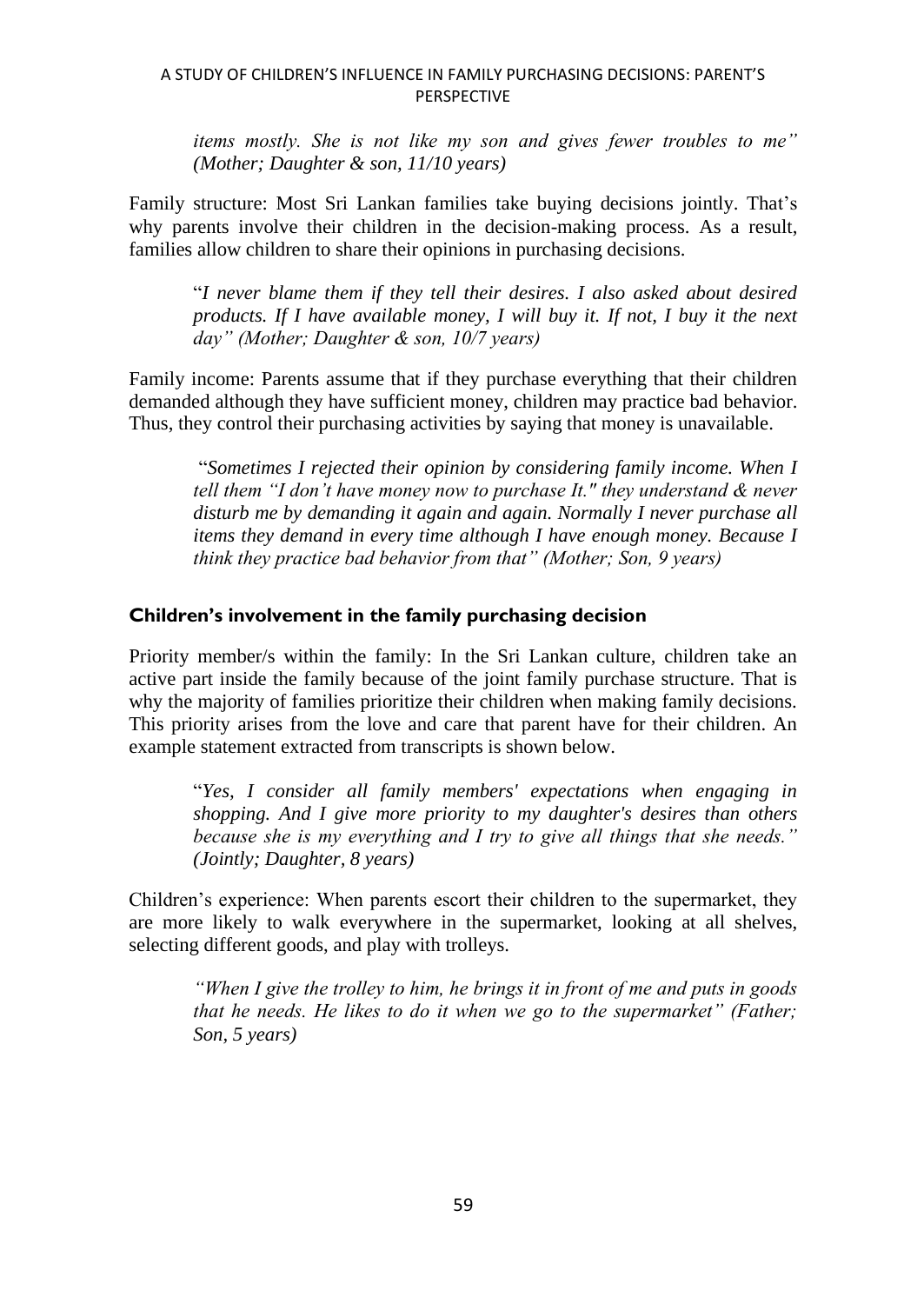*items mostly. She is not like my son and gives fewer troubles to me" (Mother; Daughter & son, 11/10 years)*

Family structure: Most Sri Lankan families take buying decisions jointly. That's why parents involve their children in the decision-making process. As a result, families allow children to share their opinions in purchasing decisions.

"*I never blame them if they tell their desires. I also asked about desired products. If I have available money, I will buy it. If not, I buy it the next day" (Mother; Daughter & son, 10/7 years)*

Family income: Parents assume that if they purchase everything that their children demanded although they have sufficient money, children may practice bad behavior. Thus, they control their purchasing activities by saying that money is unavailable.

"*Sometimes I rejected their opinion by considering family income. When I tell them "I don't have money now to purchase It." they understand & never disturb me by demanding it again and again. Normally I never purchase all items they demand in every time although I have enough money. Because I think they practice bad behavior from that" (Mother; Son, 9 years)*

# **Children's involvement in the family purchasing decision**

Priority member/s within the family: In the Sri Lankan culture, children take an active part inside the family because of the joint family purchase structure. That is why the majority of families prioritize their children when making family decisions. This priority arises from the love and care that parent have for their children. An example statement extracted from transcripts is shown below.

"*Yes, I consider all family members' expectations when engaging in shopping. And I give more priority to my daughter's desires than others because she is my everything and I try to give all things that she needs." (Jointly; Daughter, 8 years)*

Children's experience: When parents escort their children to the supermarket, they are more likely to walk everywhere in the supermarket, looking at all shelves, selecting different goods, and play with trolleys.

*"When I give the trolley to him, he brings it in front of me and puts in goods that he needs. He likes to do it when we go to the supermarket" (Father; Son, 5 years)*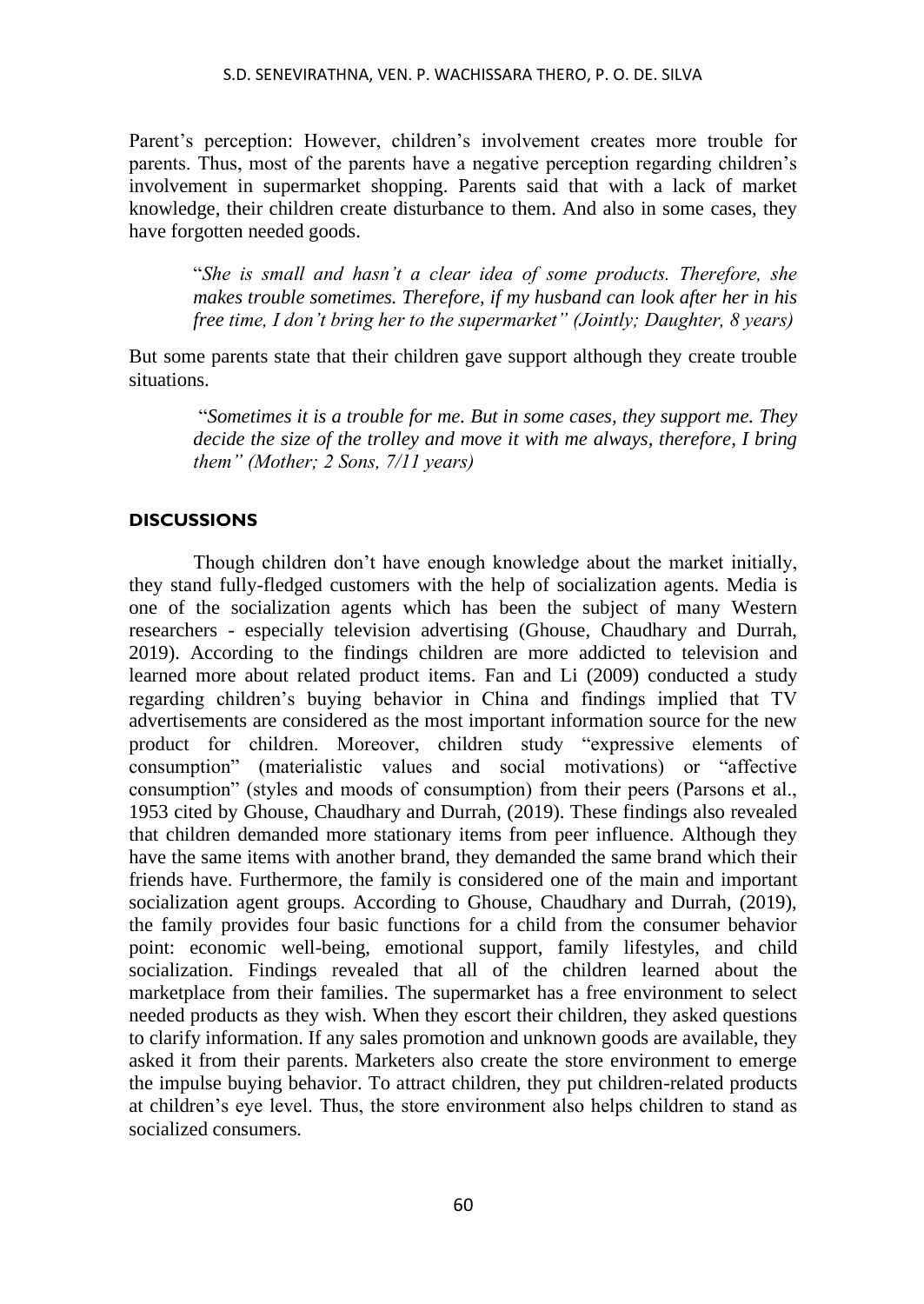Parent's perception: However, children's involvement creates more trouble for parents. Thus, most of the parents have a negative perception regarding children's involvement in supermarket shopping. Parents said that with a lack of market knowledge, their children create disturbance to them. And also in some cases, they have forgotten needed goods.

"*She is small and hasn't a clear idea of some products. Therefore, she makes trouble sometimes. Therefore, if my husband can look after her in his free time, I don't bring her to the supermarket" (Jointly; Daughter, 8 years)*

But some parents state that their children gave support although they create trouble situations.

"*Sometimes it is a trouble for me. But in some cases, they support me. They decide the size of the trolley and move it with me always, therefore, I bring them" (Mother; 2 Sons, 7/11 years)*

# **DISCUSSIONS**

Though children don't have enough knowledge about the market initially, they stand fully-fledged customers with the help of socialization agents. Media is one of the socialization agents which has been the subject of many Western researchers - especially television advertising (Ghouse, Chaudhary and Durrah, 2019). According to the findings children are more addicted to television and learned more about related product items. Fan and Li (2009) conducted a study regarding children's buying behavior in China and findings implied that TV advertisements are considered as the most important information source for the new product for children. Moreover, children study "expressive elements of consumption" (materialistic values and social motivations) or "affective consumption" (styles and moods of consumption) from their peers (Parsons et al., 1953 cited by Ghouse, Chaudhary and Durrah, (2019). These findings also revealed that children demanded more stationary items from peer influence. Although they have the same items with another brand, they demanded the same brand which their friends have. Furthermore, the family is considered one of the main and important socialization agent groups. According to Ghouse, Chaudhary and Durrah, (2019), the family provides four basic functions for a child from the consumer behavior point: economic well-being, emotional support, family lifestyles, and child socialization. Findings revealed that all of the children learned about the marketplace from their families. The supermarket has a free environment to select needed products as they wish. When they escort their children, they asked questions to clarify information. If any sales promotion and unknown goods are available, they asked it from their parents. Marketers also create the store environment to emerge the impulse buying behavior. To attract children, they put children-related products at children's eye level. Thus, the store environment also helps children to stand as socialized consumers.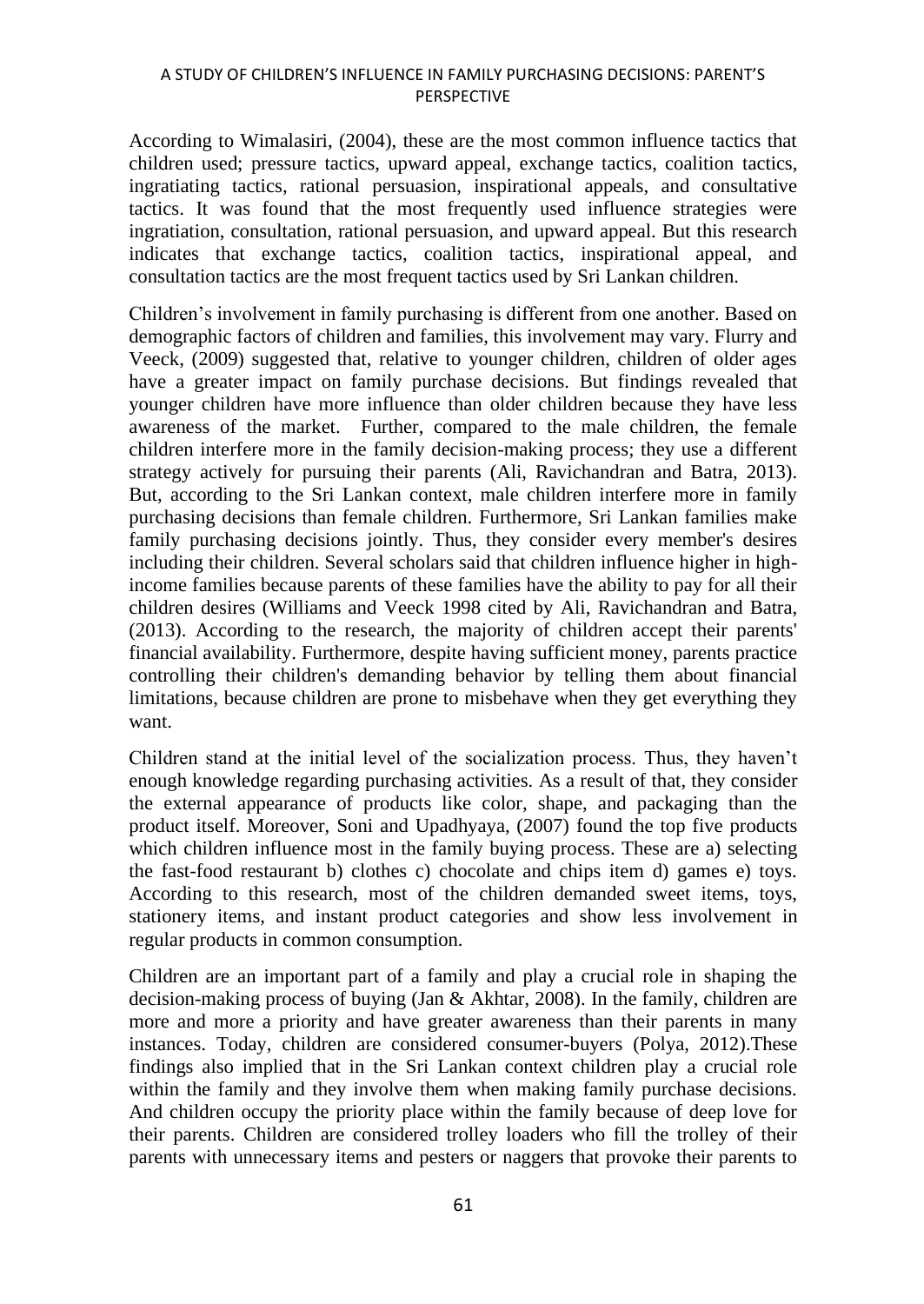According to Wimalasiri, (2004), these are the most common influence tactics that children used; pressure tactics, upward appeal, exchange tactics, coalition tactics, ingratiating tactics, rational persuasion, inspirational appeals, and consultative tactics. It was found that the most frequently used influence strategies were ingratiation, consultation, rational persuasion, and upward appeal. But this research indicates that exchange tactics, coalition tactics, inspirational appeal, and consultation tactics are the most frequent tactics used by Sri Lankan children.

Children's involvement in family purchasing is different from one another. Based on demographic factors of children and families, this involvement may vary. Flurry and Veeck, (2009) suggested that, relative to younger children, children of older ages have a greater impact on family purchase decisions. But findings revealed that younger children have more influence than older children because they have less awareness of the market. Further, compared to the male children, the female children interfere more in the family decision-making process; they use a different strategy actively for pursuing their parents (Ali, Ravichandran and Batra, 2013). But, according to the Sri Lankan context, male children interfere more in family purchasing decisions than female children. Furthermore, Sri Lankan families make family purchasing decisions jointly. Thus, they consider every member's desires including their children. Several scholars said that children influence higher in highincome families because parents of these families have the ability to pay for all their children desires (Williams and Veeck 1998 cited by Ali, Ravichandran and Batra, (2013). According to the research, the majority of children accept their parents' financial availability. Furthermore, despite having sufficient money, parents practice controlling their children's demanding behavior by telling them about financial limitations, because children are prone to misbehave when they get everything they want.

Children stand at the initial level of the socialization process. Thus, they haven't enough knowledge regarding purchasing activities. As a result of that, they consider the external appearance of products like color, shape, and packaging than the product itself. Moreover, Soni and Upadhyaya, (2007) found the top five products which children influence most in the family buying process. These are a) selecting the fast-food restaurant b) clothes c) chocolate and chips item d) games e) toys. According to this research, most of the children demanded sweet items, toys, stationery items, and instant product categories and show less involvement in regular products in common consumption.

Children are an important part of a family and play a crucial role in shaping the decision-making process of buying (Jan & Akhtar, 2008). In the family, children are more and more a priority and have greater awareness than their parents in many instances. Today, children are considered consumer-buyers (Polya, 2012).These findings also implied that in the Sri Lankan context children play a crucial role within the family and they involve them when making family purchase decisions. And children occupy the priority place within the family because of deep love for their parents. Children are considered trolley loaders who fill the trolley of their parents with unnecessary items and pesters or naggers that provoke their parents to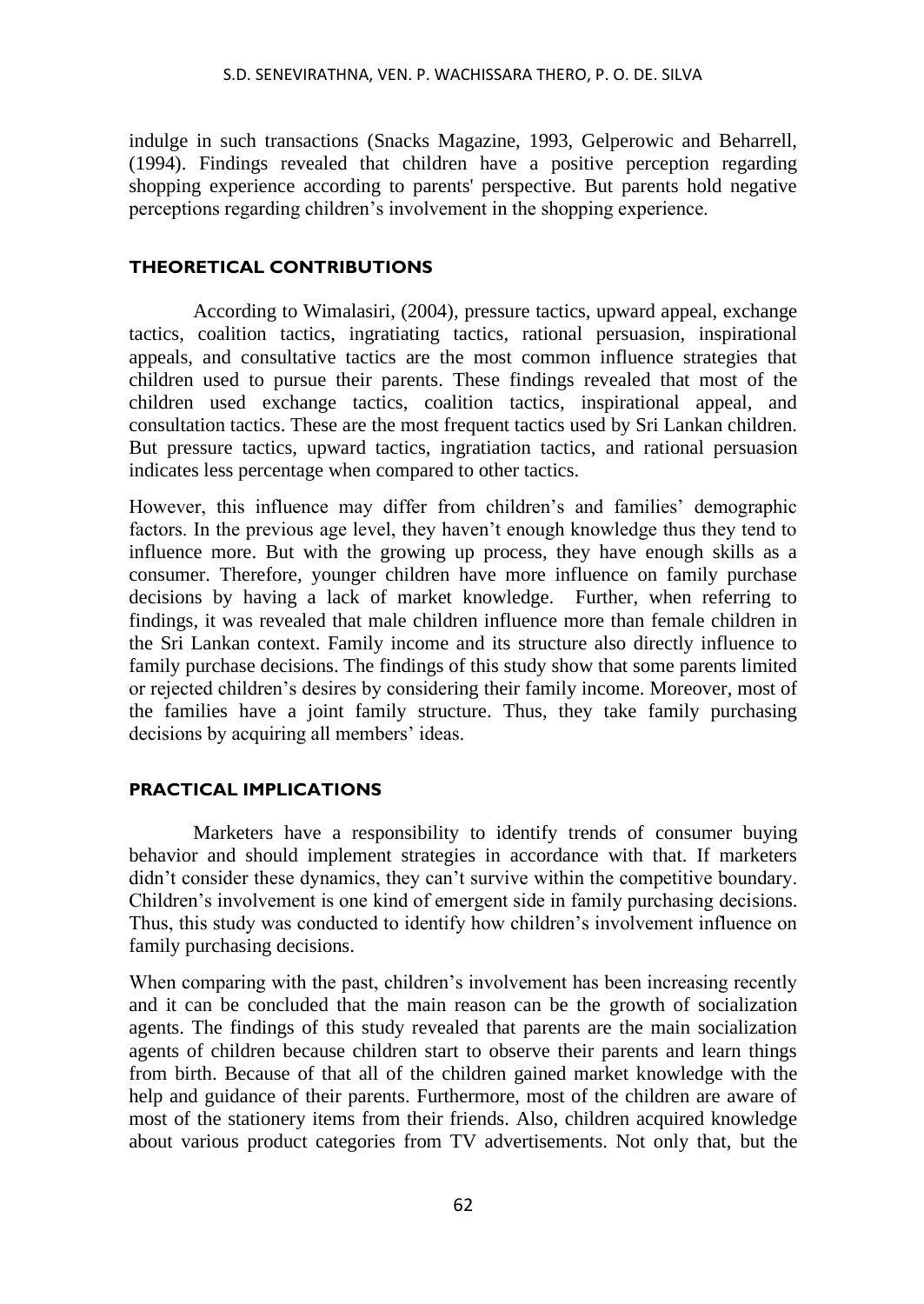indulge in such transactions (Snacks Magazine, 1993, Gelperowic and Beharrell, (1994). Findings revealed that children have a positive perception regarding shopping experience according to parents' perspective. But parents hold negative perceptions regarding children's involvement in the shopping experience.

### **THEORETICAL CONTRIBUTIONS**

According to Wimalasiri, (2004), pressure tactics, upward appeal, exchange tactics, coalition tactics, ingratiating tactics, rational persuasion, inspirational appeals, and consultative tactics are the most common influence strategies that children used to pursue their parents. These findings revealed that most of the children used exchange tactics, coalition tactics, inspirational appeal, and consultation tactics. These are the most frequent tactics used by Sri Lankan children. But pressure tactics, upward tactics, ingratiation tactics, and rational persuasion indicates less percentage when compared to other tactics.

However, this influence may differ from children's and families' demographic factors. In the previous age level, they haven't enough knowledge thus they tend to influence more. But with the growing up process, they have enough skills as a consumer. Therefore, younger children have more influence on family purchase decisions by having a lack of market knowledge. Further, when referring to findings, it was revealed that male children influence more than female children in the Sri Lankan context. Family income and its structure also directly influence to family purchase decisions. The findings of this study show that some parents limited or rejected children's desires by considering their family income. Moreover, most of the families have a joint family structure. Thus, they take family purchasing decisions by acquiring all members' ideas.

### **PRACTICAL IMPLICATIONS**

Marketers have a responsibility to identify trends of consumer buying behavior and should implement strategies in accordance with that. If marketers didn't consider these dynamics, they can't survive within the competitive boundary. Children's involvement is one kind of emergent side in family purchasing decisions. Thus, this study was conducted to identify how children's involvement influence on family purchasing decisions.

When comparing with the past, children's involvement has been increasing recently and it can be concluded that the main reason can be the growth of socialization agents. The findings of this study revealed that parents are the main socialization agents of children because children start to observe their parents and learn things from birth. Because of that all of the children gained market knowledge with the help and guidance of their parents. Furthermore, most of the children are aware of most of the stationery items from their friends. Also, children acquired knowledge about various product categories from TV advertisements. Not only that, but the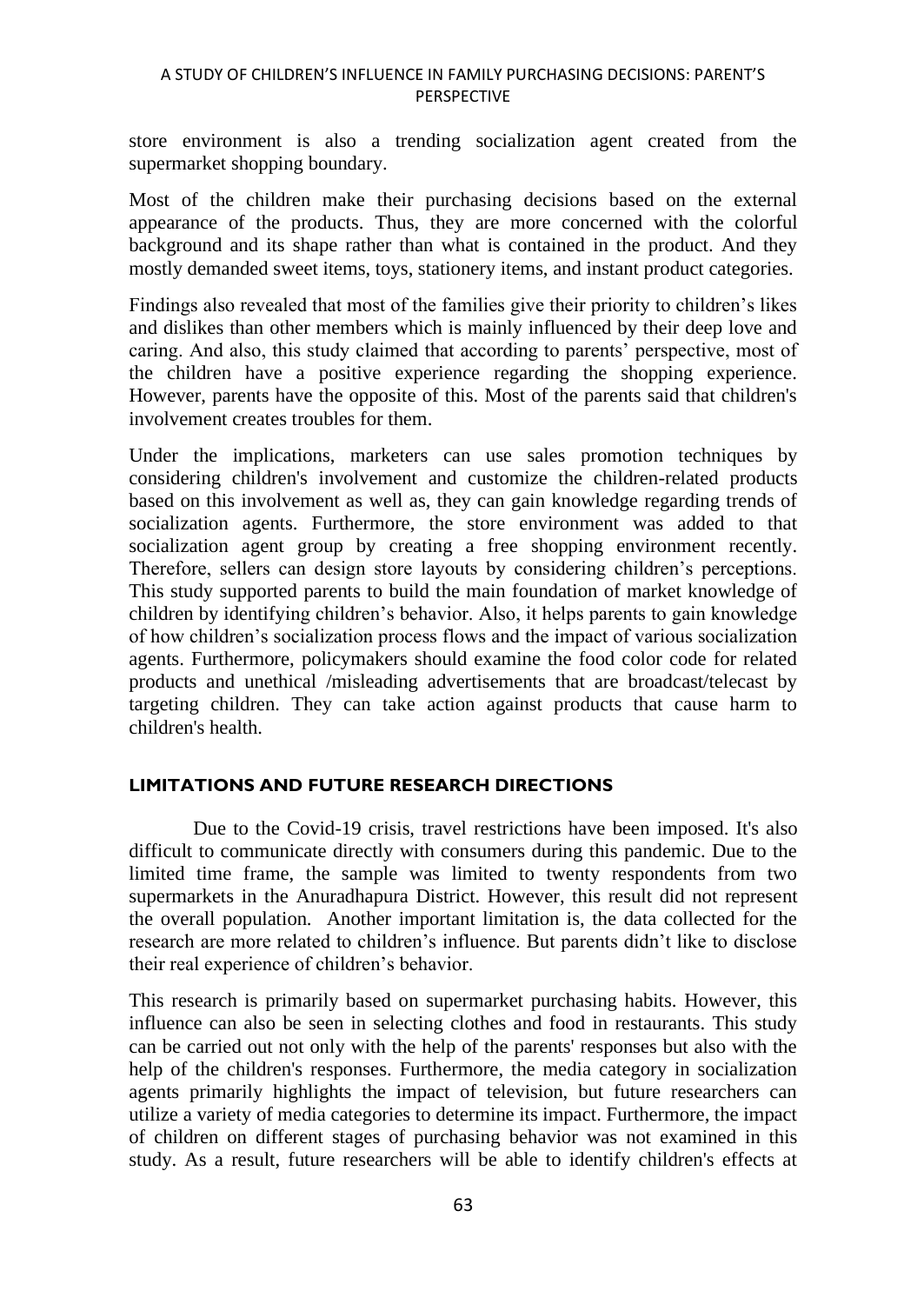store environment is also a trending socialization agent created from the supermarket shopping boundary.

Most of the children make their purchasing decisions based on the external appearance of the products. Thus, they are more concerned with the colorful background and its shape rather than what is contained in the product. And they mostly demanded sweet items, toys, stationery items, and instant product categories.

Findings also revealed that most of the families give their priority to children's likes and dislikes than other members which is mainly influenced by their deep love and caring. And also, this study claimed that according to parents' perspective, most of the children have a positive experience regarding the shopping experience. However, parents have the opposite of this. Most of the parents said that children's involvement creates troubles for them.

Under the implications, marketers can use sales promotion techniques by considering children's involvement and customize the children-related products based on this involvement as well as, they can gain knowledge regarding trends of socialization agents. Furthermore, the store environment was added to that socialization agent group by creating a free shopping environment recently. Therefore, sellers can design store layouts by considering children's perceptions. This study supported parents to build the main foundation of market knowledge of children by identifying children's behavior. Also, it helps parents to gain knowledge of how children's socialization process flows and the impact of various socialization agents. Furthermore, policymakers should examine the food color code for related products and unethical /misleading advertisements that are broadcast/telecast by targeting children. They can take action against products that cause harm to children's health.

### **LIMITATIONS AND FUTURE RESEARCH DIRECTIONS**

Due to the Covid-19 crisis, travel restrictions have been imposed. It's also difficult to communicate directly with consumers during this pandemic. Due to the limited time frame, the sample was limited to twenty respondents from two supermarkets in the Anuradhapura District. However, this result did not represent the overall population. Another important limitation is, the data collected for the research are more related to children's influence. But parents didn't like to disclose their real experience of children's behavior.

This research is primarily based on supermarket purchasing habits. However, this influence can also be seen in selecting clothes and food in restaurants. This study can be carried out not only with the help of the parents' responses but also with the help of the children's responses. Furthermore, the media category in socialization agents primarily highlights the impact of television, but future researchers can utilize a variety of media categories to determine its impact. Furthermore, the impact of children on different stages of purchasing behavior was not examined in this study. As a result, future researchers will be able to identify children's effects at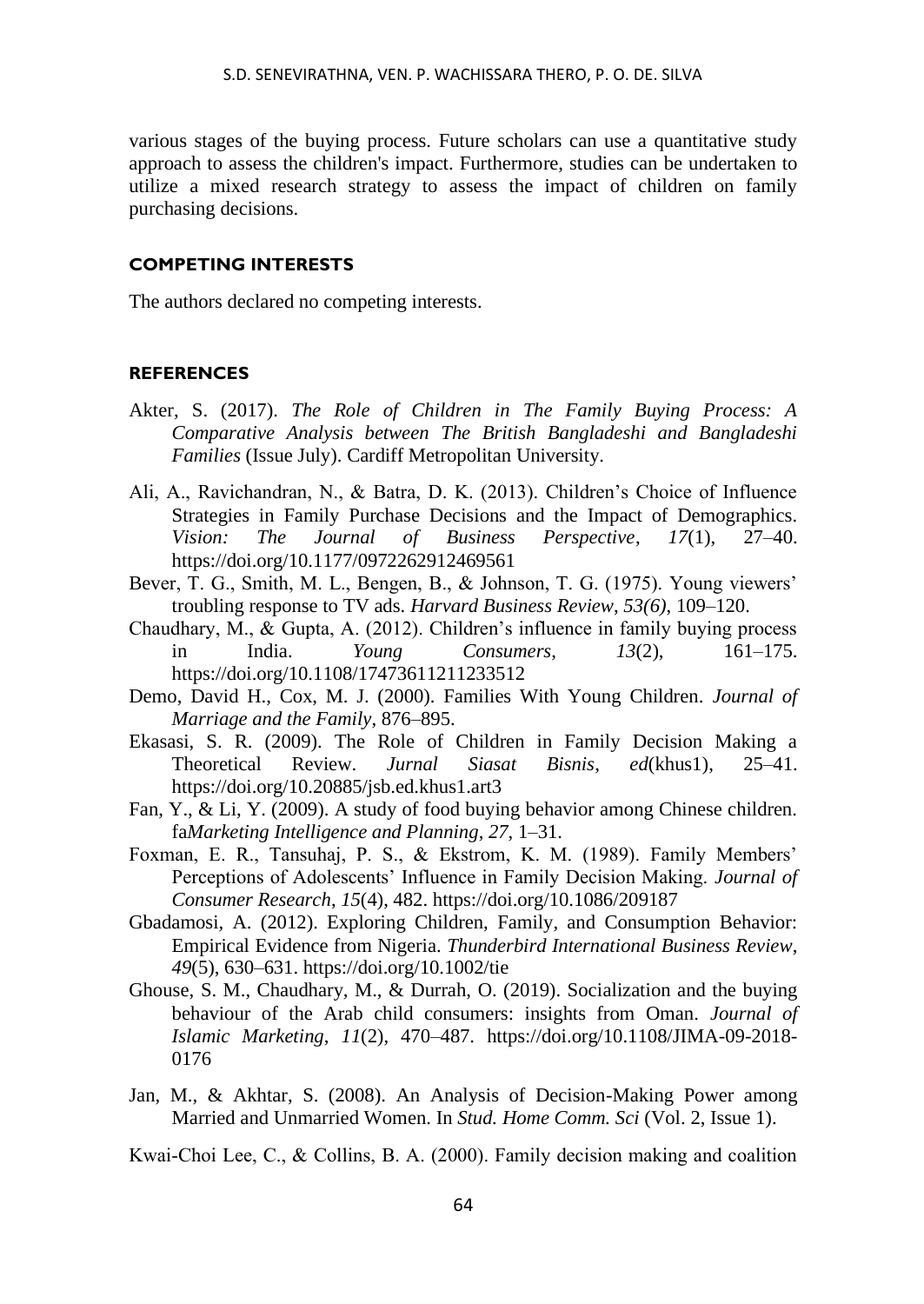various stages of the buying process. Future scholars can use a quantitative study approach to assess the children's impact. Furthermore, studies can be undertaken to utilize a mixed research strategy to assess the impact of children on family purchasing decisions.

### **COMPETING INTERESTS**

The authors declared no competing interests.

### **REFERENCES**

- Akter, S. (2017). *The Role of Children in The Family Buying Process: A Comparative Analysis between The British Bangladeshi and Bangladeshi Families* (Issue July). Cardiff Metropolitan University.
- Ali, A., Ravichandran, N., & Batra, D. K. (2013). Children's Choice of Influence Strategies in Family Purchase Decisions and the Impact of Demographics. *Vision: The Journal of Business Perspective*, *17*(1), 27–40. https://doi.org/10.1177/0972262912469561
- Bever, T. G., Smith, M. L., Bengen, B., & Johnson, T. G. (1975). Young viewers' troubling response to TV ads. *Harvard Business Review*, *53(6)*, 109–120.
- Chaudhary, M., & Gupta, A. (2012). Children's influence in family buying process in India. *Young Consumers*, *13*(2), 161–175. https://doi.org/10.1108/17473611211233512
- Demo, David H., Cox, M. J. (2000). Families With Young Children. *Journal of Marriage and the Family*, 876–895.
- Ekasasi, S. R. (2009). The Role of Children in Family Decision Making a Theoretical Review. *Jurnal Siasat Bisnis*, *ed*(khus1), 25–41. https://doi.org/10.20885/jsb.ed.khus1.art3
- Fan, Y., & Li, Y. (2009). A study of food buying behavior among Chinese children. fa*Marketing Intelligence and Planning*, *27*, 1–31.
- Foxman, E. R., Tansuhaj, P. S., & Ekstrom, K. M. (1989). Family Members' Perceptions of Adolescents' Influence in Family Decision Making. *Journal of Consumer Research*, *15*(4), 482. https://doi.org/10.1086/209187
- Gbadamosi, A. (2012). Exploring Children, Family, and Consumption Behavior: Empirical Evidence from Nigeria. *Thunderbird International Business Review*, *49*(5), 630–631. https://doi.org/10.1002/tie
- Ghouse, S. M., Chaudhary, M., & Durrah, O. (2019). Socialization and the buying behaviour of the Arab child consumers: insights from Oman. *Journal of Islamic Marketing*, *11*(2), 470–487. https://doi.org/10.1108/JIMA-09-2018- 0176
- Jan, M., & Akhtar, S. (2008). An Analysis of Decision-Making Power among Married and Unmarried Women. In *Stud. Home Comm. Sci* (Vol. 2, Issue 1).

Kwai‐Choi Lee, C., & Collins, B. A. (2000). Family decision making and coalition